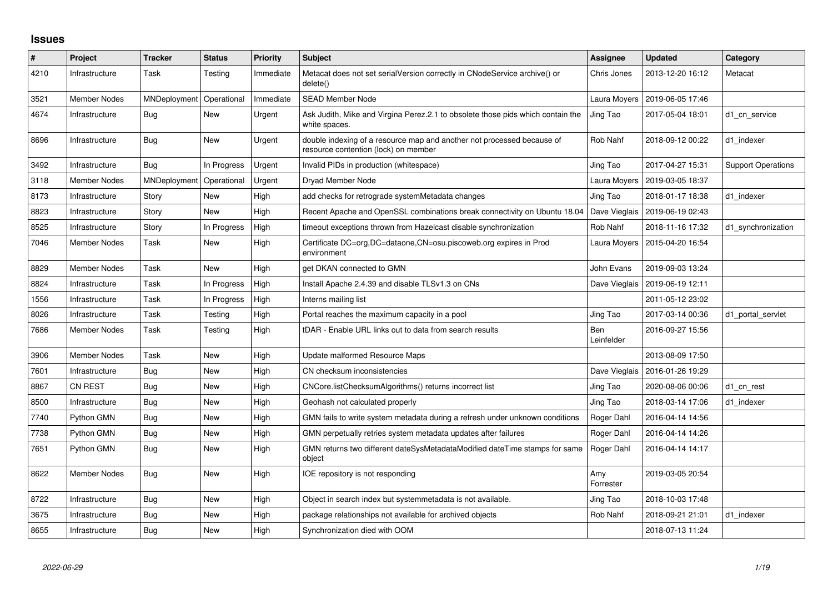## **Issues**

| $\#$ | Project             | <b>Tracker</b>      | <b>Status</b> | <b>Priority</b> | <b>Subject</b>                                                                                                 | Assignee          | <b>Updated</b>                   | Category                  |
|------|---------------------|---------------------|---------------|-----------------|----------------------------------------------------------------------------------------------------------------|-------------------|----------------------------------|---------------------------|
| 4210 | Infrastructure      | Task                | Testing       | Immediate       | Metacat does not set serialVersion correctly in CNodeService archive() or<br>delete()                          | Chris Jones       | 2013-12-20 16:12                 | Metacat                   |
| 3521 | <b>Member Nodes</b> | MNDeployment        | Operational   | Immediate       | <b>SEAD Member Node</b>                                                                                        | Laura Moyers      | 2019-06-05 17:46                 |                           |
| 4674 | Infrastructure      | Bug                 | New           | Urgent          | Ask Judith, Mike and Virgina Perez.2.1 to obsolete those pids which contain the<br>white spaces.               | Jing Tao          | 2017-05-04 18:01                 | d1 cn service             |
| 8696 | Infrastructure      | Bug                 | New           | Urgent          | double indexing of a resource map and another not processed because of<br>resource contention (lock) on member | Rob Nahf          | 2018-09-12 00:22                 | d1 indexer                |
| 3492 | Infrastructure      | Bug                 | In Progress   | Urgent          | Invalid PIDs in production (whitespace)                                                                        | Jing Tao          | 2017-04-27 15:31                 | <b>Support Operations</b> |
| 3118 | Member Nodes        | <b>MNDeployment</b> | Operational   | Urgent          | Dryad Member Node                                                                                              | Laura Moyers      | 2019-03-05 18:37                 |                           |
| 8173 | Infrastructure      | Story               | New           | High            | add checks for retrograde systemMetadata changes                                                               | Jing Tao          | 2018-01-17 18:38                 | d1 indexer                |
| 8823 | Infrastructure      | Story               | New           | High            | Recent Apache and OpenSSL combinations break connectivity on Ubuntu 18.04                                      |                   | Dave Vieglais   2019-06-19 02:43 |                           |
| 8525 | Infrastructure      | Story               | In Progress   | High            | timeout exceptions thrown from Hazelcast disable synchronization                                               | Rob Nahf          | 2018-11-16 17:32                 | d1_synchronization        |
| 7046 | <b>Member Nodes</b> | Task                | New           | High            | Certificate DC=org, DC=dataone, CN=osu.piscoweb.org expires in Prod<br>environment                             |                   | Laura Moyers   2015-04-20 16:54  |                           |
| 8829 | <b>Member Nodes</b> | Task                | <b>New</b>    | High            | get DKAN connected to GMN                                                                                      | John Evans        | 2019-09-03 13:24                 |                           |
| 8824 | Infrastructure      | Task                | In Progress   | High            | Install Apache 2.4.39 and disable TLSv1.3 on CNs                                                               | Dave Vieglais     | 2019-06-19 12:11                 |                           |
| 1556 | Infrastructure      | Task                | In Progress   | High            | Interns mailing list                                                                                           |                   | 2011-05-12 23:02                 |                           |
| 8026 | Infrastructure      | Task                | Testing       | High            | Portal reaches the maximum capacity in a pool                                                                  | Jing Tao          | 2017-03-14 00:36                 | d1_portal_servlet         |
| 7686 | Member Nodes        | Task                | Testing       | High            | tDAR - Enable URL links out to data from search results                                                        | Ben<br>Leinfelder | 2016-09-27 15:56                 |                           |
| 3906 | <b>Member Nodes</b> | Task                | <b>New</b>    | High            | Update malformed Resource Maps                                                                                 |                   | 2013-08-09 17:50                 |                           |
| 7601 | Infrastructure      | Bug                 | <b>New</b>    | High            | CN checksum inconsistencies                                                                                    | Dave Vieglais     | 2016-01-26 19:29                 |                           |
| 8867 | CN REST             | Bug                 | <b>New</b>    | High            | CNCore.listChecksumAlgorithms() returns incorrect list                                                         | Jing Tao          | 2020-08-06 00:06                 | d1 cn rest                |
| 8500 | Infrastructure      | Bug                 | New           | High            | Geohash not calculated properly                                                                                | Jing Tao          | 2018-03-14 17:06                 | d1 indexer                |
| 7740 | Python GMN          | Bug                 | New           | High            | GMN fails to write system metadata during a refresh under unknown conditions                                   | Roger Dahl        | 2016-04-14 14:56                 |                           |
| 7738 | Python GMN          | <b>Bug</b>          | <b>New</b>    | High            | GMN perpetually retries system metadata updates after failures                                                 | Roger Dahl        | 2016-04-14 14:26                 |                           |
| 7651 | Python GMN          | Bug                 | New           | High            | GMN returns two different dateSysMetadataModified dateTime stamps for same<br>object                           | Roger Dahl        | 2016-04-14 14:17                 |                           |
| 8622 | Member Nodes        | Bug                 | <b>New</b>    | High            | IOE repository is not responding                                                                               | Amy<br>Forrester  | 2019-03-05 20:54                 |                           |
| 8722 | Infrastructure      | Bug                 | New           | High            | Object in search index but systemmetadata is not available.                                                    | Jing Tao          | 2018-10-03 17:48                 |                           |
| 3675 | Infrastructure      | Bug                 | New           | High            | package relationships not available for archived objects                                                       | Rob Nahf          | 2018-09-21 21:01                 | d1 indexer                |
| 8655 | Infrastructure      | <b>Bug</b>          | New           | High            | Synchronization died with OOM                                                                                  |                   | 2018-07-13 11:24                 |                           |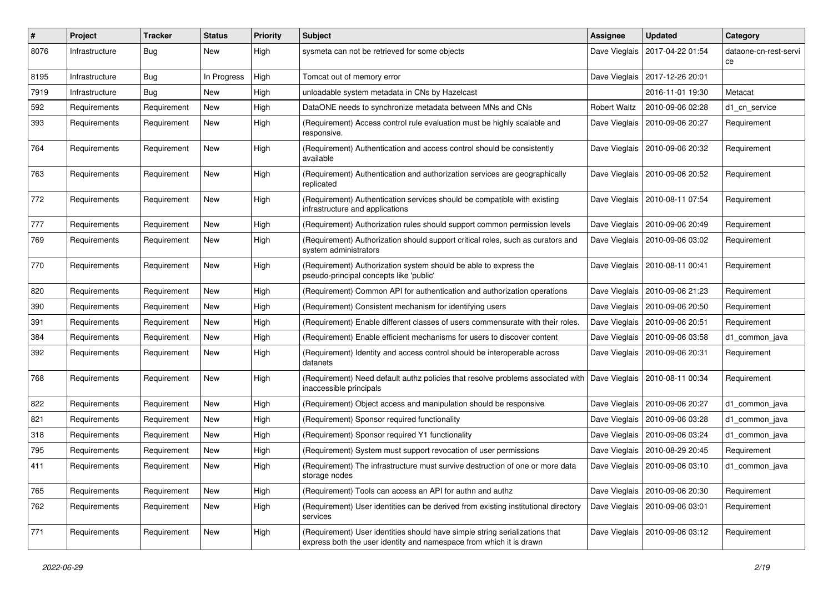| #    | Project        | <b>Tracker</b> | <b>Status</b> | <b>Priority</b> | Subject                                                                                                                                            | <b>Assignee</b>     | <b>Updated</b>                   | Category                    |
|------|----------------|----------------|---------------|-----------------|----------------------------------------------------------------------------------------------------------------------------------------------------|---------------------|----------------------------------|-----------------------------|
| 8076 | Infrastructure | Bug            | New           | High            | sysmeta can not be retrieved for some objects                                                                                                      | Dave Vieglais       | 2017-04-22 01:54                 | dataone-cn-rest-servi<br>ce |
| 8195 | Infrastructure | <b>Bug</b>     | In Progress   | High            | Tomcat out of memory error                                                                                                                         | Dave Vieglais       | 2017-12-26 20:01                 |                             |
| 7919 | Infrastructure | Bug            | <b>New</b>    | High            | unloadable system metadata in CNs by Hazelcast                                                                                                     |                     | 2016-11-01 19:30                 | Metacat                     |
| 592  | Requirements   | Requirement    | New           | High            | DataONE needs to synchronize metadata between MNs and CNs                                                                                          | <b>Robert Waltz</b> | 2010-09-06 02:28                 | d1 cn service               |
| 393  | Requirements   | Requirement    | New           | High            | (Requirement) Access control rule evaluation must be highly scalable and<br>responsive.                                                            | Dave Vieglais       | 2010-09-06 20:27                 | Requirement                 |
| 764  | Requirements   | Requirement    | New           | High            | (Requirement) Authentication and access control should be consistently<br>available                                                                |                     | Dave Vieglais   2010-09-06 20:32 | Requirement                 |
| 763  | Requirements   | Requirement    | New           | High            | (Requirement) Authentication and authorization services are geographically<br>replicated                                                           |                     | Dave Vieglais   2010-09-06 20:52 | Requirement                 |
| 772  | Requirements   | Requirement    | New           | High            | (Requirement) Authentication services should be compatible with existing<br>infrastructure and applications                                        |                     | Dave Vieglais   2010-08-11 07:54 | Requirement                 |
| 777  | Requirements   | Requirement    | New           | High            | (Requirement) Authorization rules should support common permission levels                                                                          |                     | Dave Vieglais   2010-09-06 20:49 | Requirement                 |
| 769  | Requirements   | Requirement    | New           | High            | (Requirement) Authorization should support critical roles, such as curators and<br>system administrators                                           |                     | Dave Vieglais   2010-09-06 03:02 | Requirement                 |
| 770  | Requirements   | Requirement    | New           | High            | (Requirement) Authorization system should be able to express the<br>pseudo-principal concepts like 'public'                                        |                     | Dave Vieglais   2010-08-11 00:41 | Requirement                 |
| 820  | Requirements   | Requirement    | New           | High            | (Requirement) Common API for authentication and authorization operations                                                                           | Dave Vieglais       | 2010-09-06 21:23                 | Requirement                 |
| 390  | Requirements   | Requirement    | New           | High            | (Requirement) Consistent mechanism for identifying users                                                                                           |                     | Dave Vieglais   2010-09-06 20:50 | Requirement                 |
| 391  | Requirements   | Requirement    | <b>New</b>    | High            | (Requirement) Enable different classes of users commensurate with their roles.                                                                     | Dave Vieglais       | 2010-09-06 20:51                 | Requirement                 |
| 384  | Requirements   | Requirement    | New           | High            | (Requirement) Enable efficient mechanisms for users to discover content                                                                            |                     | Dave Vieglais   2010-09-06 03:58 | d1 common java              |
| 392  | Requirements   | Requirement    | New           | High            | (Requirement) Identity and access control should be interoperable across<br>datanets                                                               |                     | Dave Vieglais   2010-09-06 20:31 | Requirement                 |
| 768  | Requirements   | Requirement    | New           | High            | (Requirement) Need default authz policies that resolve problems associated with<br>inaccessible principals                                         |                     | Dave Vieglais   2010-08-11 00:34 | Requirement                 |
| 822  | Requirements   | Requirement    | New           | High            | (Requirement) Object access and manipulation should be responsive                                                                                  |                     | Dave Vieglais   2010-09-06 20:27 | d1 common java              |
| 821  | Requirements   | Requirement    | New           | High            | (Requirement) Sponsor required functionality                                                                                                       |                     | Dave Vieglais   2010-09-06 03:28 | d1 common java              |
| 318  | Requirements   | Requirement    | New           | High            | (Requirement) Sponsor required Y1 functionality                                                                                                    | Dave Vieglais       | 2010-09-06 03:24                 | d1 common java              |
| 795  | Requirements   | Requirement    | New           | High            | (Requirement) System must support revocation of user permissions                                                                                   |                     | Dave Vieglais   2010-08-29 20:45 | Requirement                 |
| 411  | Requirements   | Requirement    | New           | High            | (Requirement) The infrastructure must survive destruction of one or more data<br>storage nodes                                                     |                     | Dave Vieglais   2010-09-06 03:10 | d1 common java              |
| 765  | Requirements   | Requirement    | New           | High            | (Requirement) Tools can access an API for authn and authz                                                                                          |                     | Dave Vieglais   2010-09-06 20:30 | Requirement                 |
| 762  | Requirements   | Requirement    | New           | High            | (Requirement) User identities can be derived from existing institutional directory<br>services                                                     |                     | Dave Vieglais   2010-09-06 03:01 | Requirement                 |
| 771  | Requirements   | Requirement    | New           | High            | (Requirement) User identities should have simple string serializations that<br>express both the user identity and namespace from which it is drawn |                     | Dave Vieglais   2010-09-06 03:12 | Requirement                 |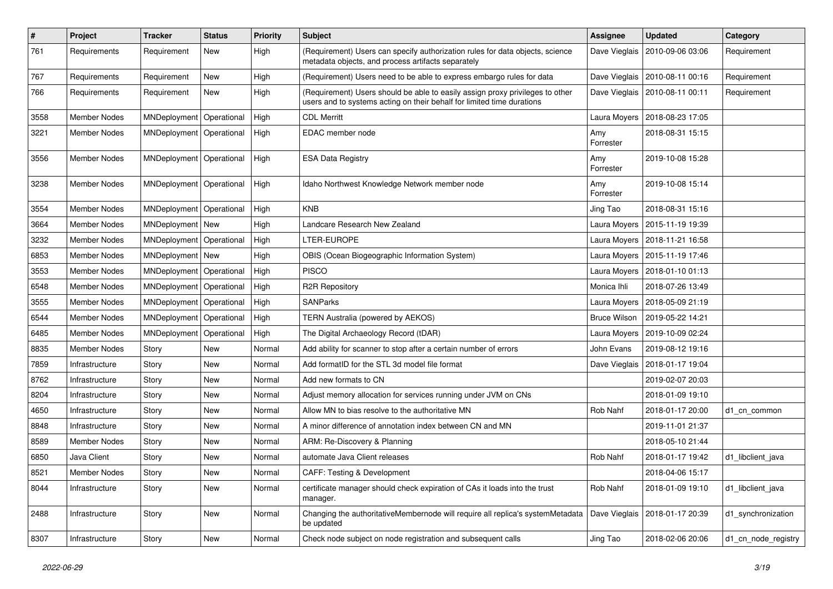| #    | <b>Project</b>      | <b>Tracker</b>             | <b>Status</b> | <b>Priority</b> | Subject                                                                                                                                                 | Assignee            | <b>Updated</b>                   | Category            |
|------|---------------------|----------------------------|---------------|-----------------|---------------------------------------------------------------------------------------------------------------------------------------------------------|---------------------|----------------------------------|---------------------|
| 761  | Requirements        | Requirement                | New           | High            | (Requirement) Users can specify authorization rules for data objects, science<br>metadata objects, and process artifacts separately                     | Dave Vieglais       | 2010-09-06 03:06                 | Requirement         |
| 767  | Requirements        | Requirement                | New           | High            | (Requirement) Users need to be able to express embargo rules for data                                                                                   | Dave Vieglais       | 2010-08-11 00:16                 | Requirement         |
| 766  | Requirements        | Requirement                | New           | High            | (Requirement) Users should be able to easily assign proxy privileges to other<br>users and to systems acting on their behalf for limited time durations |                     | Dave Vieglais   2010-08-11 00:11 | Requirement         |
| 3558 | <b>Member Nodes</b> | MNDeployment               | Operational   | High            | <b>CDL Merritt</b>                                                                                                                                      | Laura Moyers        | 2018-08-23 17:05                 |                     |
| 3221 | <b>Member Nodes</b> | MNDeployment   Operational |               | High            | EDAC member node                                                                                                                                        | Amy<br>Forrester    | 2018-08-31 15:15                 |                     |
| 3556 | Member Nodes        | MNDeployment   Operational |               | High            | <b>ESA Data Registry</b>                                                                                                                                | Amy<br>Forrester    | 2019-10-08 15:28                 |                     |
| 3238 | <b>Member Nodes</b> | MNDeployment   Operational |               | High            | Idaho Northwest Knowledge Network member node                                                                                                           | Amy<br>Forrester    | 2019-10-08 15:14                 |                     |
| 3554 | Member Nodes        | MNDeployment               | Operational   | High            | <b>KNB</b>                                                                                                                                              | Jing Tao            | 2018-08-31 15:16                 |                     |
| 3664 | <b>Member Nodes</b> | MNDeployment   New         |               | High            | Landcare Research New Zealand                                                                                                                           | Laura Moyers        | 2015-11-19 19:39                 |                     |
| 3232 | Member Nodes        | MNDeployment   Operational |               | High            | LTER-EUROPE                                                                                                                                             | Laura Moyers        | 2018-11-21 16:58                 |                     |
| 6853 | Member Nodes        | MNDeployment   New         |               | High            | OBIS (Ocean Biogeographic Information System)                                                                                                           | Laura Moyers        | 2015-11-19 17:46                 |                     |
| 3553 | Member Nodes        | MNDeployment   Operational |               | High            | <b>PISCO</b>                                                                                                                                            | Laura Moyers        | 2018-01-10 01:13                 |                     |
| 6548 | Member Nodes        | MNDeployment               | Operational   | High            | <b>R2R Repository</b>                                                                                                                                   | Monica Ihli         | 2018-07-26 13:49                 |                     |
| 3555 | <b>Member Nodes</b> | MNDeployment               | Operational   | High            | <b>SANParks</b>                                                                                                                                         | Laura Moyers        | 2018-05-09 21:19                 |                     |
| 6544 | <b>Member Nodes</b> | MNDeployment   Operational |               | High            | TERN Australia (powered by AEKOS)                                                                                                                       | <b>Bruce Wilson</b> | 2019-05-22 14:21                 |                     |
| 6485 | Member Nodes        | MNDeployment               | Operational   | High            | The Digital Archaeology Record (tDAR)                                                                                                                   | Laura Moyers        | 2019-10-09 02:24                 |                     |
| 8835 | Member Nodes        | Story                      | New           | Normal          | Add ability for scanner to stop after a certain number of errors                                                                                        | John Evans          | 2019-08-12 19:16                 |                     |
| 7859 | Infrastructure      | Story                      | New           | Normal          | Add formatID for the STL 3d model file format                                                                                                           | Dave Vieglais       | 2018-01-17 19:04                 |                     |
| 8762 | Infrastructure      | Story                      | New           | Normal          | Add new formats to CN                                                                                                                                   |                     | 2019-02-07 20:03                 |                     |
| 8204 | Infrastructure      | Story                      | New           | Normal          | Adjust memory allocation for services running under JVM on CNs                                                                                          |                     | 2018-01-09 19:10                 |                     |
| 4650 | Infrastructure      | Story                      | New           | Normal          | Allow MN to bias resolve to the authoritative MN                                                                                                        | Rob Nahf            | 2018-01-17 20:00                 | d1 cn common        |
| 8848 | Infrastructure      | Story                      | New           | Normal          | A minor difference of annotation index between CN and MN                                                                                                |                     | 2019-11-01 21:37                 |                     |
| 8589 | <b>Member Nodes</b> | Story                      | New           | Normal          | ARM: Re-Discovery & Planning                                                                                                                            |                     | 2018-05-10 21:44                 |                     |
| 6850 | Java Client         | Story                      | New           | Normal          | automate Java Client releases                                                                                                                           | Rob Nahf            | 2018-01-17 19:42                 | d1_libclient_java   |
| 8521 | Member Nodes        | Story                      | New           | Normal          | <b>CAFF: Testing &amp; Development</b>                                                                                                                  |                     | 2018-04-06 15:17                 |                     |
| 8044 | Infrastructure      | Story                      | New           | Normal          | certificate manager should check expiration of CAs it loads into the trust<br>manager.                                                                  | Rob Nahf            | 2018-01-09 19:10                 | d1_libclient_java   |
| 2488 | Infrastructure      | Story                      | New           | Normal          | Changing the authoritativeMembernode will require all replica's systemMetadata<br>be updated                                                            | Dave Vieglais       | 2018-01-17 20:39                 | d1_synchronization  |
| 8307 | Infrastructure      | Story                      | New           | Normal          | Check node subject on node registration and subsequent calls                                                                                            | Jing Tao            | 2018-02-06 20:06                 | d1_cn_node_registry |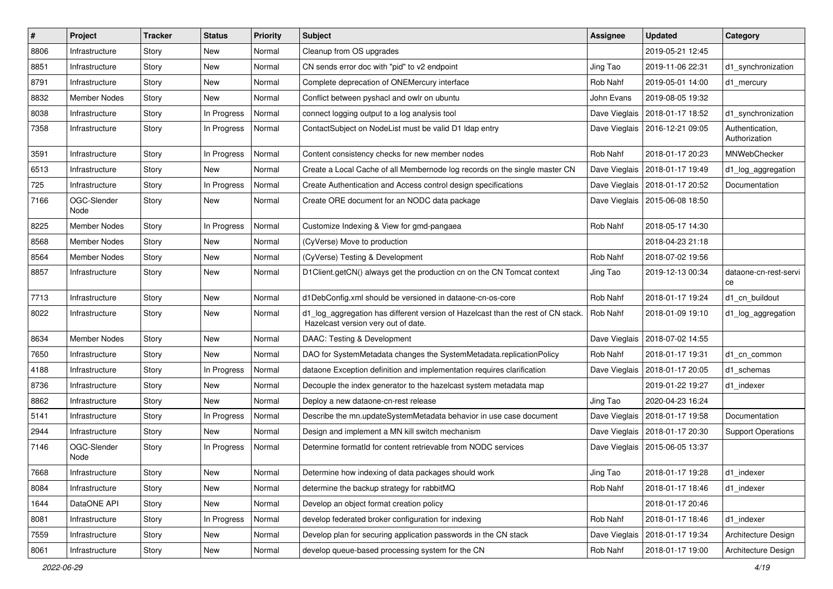| #    | <b>Project</b>      | <b>Tracker</b> | <b>Status</b> | <b>Priority</b> | <b>Subject</b>                                                                                                         | Assignee      | <b>Updated</b>                   | Category                         |
|------|---------------------|----------------|---------------|-----------------|------------------------------------------------------------------------------------------------------------------------|---------------|----------------------------------|----------------------------------|
| 8806 | Infrastructure      | Story          | New           | Normal          | Cleanup from OS upgrades                                                                                               |               | 2019-05-21 12:45                 |                                  |
| 8851 | Infrastructure      | Story          | New           | Normal          | CN sends error doc with "pid" to v2 endpoint                                                                           | Jing Tao      | 2019-11-06 22:31                 | d1_synchronization               |
| 8791 | Infrastructure      | Story          | New           | Normal          | Complete deprecation of ONEMercury interface                                                                           | Rob Nahf      | 2019-05-01 14:00                 | d1 mercury                       |
| 8832 | <b>Member Nodes</b> | Story          | New           | Normal          | Conflict between pyshacl and owlr on ubuntu                                                                            | John Evans    | 2019-08-05 19:32                 |                                  |
| 8038 | Infrastructure      | Story          | In Progress   | Normal          | connect logging output to a log analysis tool                                                                          | Dave Vieglais | 2018-01-17 18:52                 | d1_synchronization               |
| 7358 | Infrastructure      | Story          | In Progress   | Normal          | ContactSubject on NodeList must be valid D1 Idap entry                                                                 |               | Dave Vieglais   2016-12-21 09:05 | Authentication,<br>Authorization |
| 3591 | Infrastructure      | Story          | In Progress   | Normal          | Content consistency checks for new member nodes                                                                        | Rob Nahf      | 2018-01-17 20:23                 | MNWebChecker                     |
| 6513 | Infrastructure      | Story          | New           | Normal          | Create a Local Cache of all Membernode log records on the single master CN                                             |               | Dave Vieglais   2018-01-17 19:49 | d1_log_aggregation               |
| 725  | Infrastructure      | Story          | In Progress   | Normal          | Create Authentication and Access control design specifications                                                         |               | Dave Vieglais   2018-01-17 20:52 | Documentation                    |
| 7166 | OGC-Slender<br>Node | Story          | New           | Normal          | Create ORE document for an NODC data package                                                                           |               | Dave Vieglais   2015-06-08 18:50 |                                  |
| 8225 | <b>Member Nodes</b> | Story          | In Progress   | Normal          | Customize Indexing & View for gmd-pangaea                                                                              | Rob Nahf      | 2018-05-17 14:30                 |                                  |
| 8568 | Member Nodes        | Story          | New           | Normal          | (CyVerse) Move to production                                                                                           |               | 2018-04-23 21:18                 |                                  |
| 8564 | <b>Member Nodes</b> | Story          | <b>New</b>    | Normal          | (CyVerse) Testing & Development                                                                                        | Rob Nahf      | 2018-07-02 19:56                 |                                  |
| 8857 | Infrastructure      | Story          | New           | Normal          | D1Client.getCN() always get the production cn on the CN Tomcat context                                                 | Jing Tao      | 2019-12-13 00:34                 | dataone-cn-rest-servi<br>ce      |
| 7713 | Infrastructure      | Story          | <b>New</b>    | Normal          | d1DebConfig.xml should be versioned in dataone-cn-os-core                                                              | Rob Nahf      | 2018-01-17 19:24                 | d1_cn_buildout                   |
| 8022 | Infrastructure      | Story          | New           | Normal          | d1_log_aggregation has different version of Hazelcast than the rest of CN stack<br>Hazelcast version very out of date. | Rob Nahf      | 2018-01-09 19:10                 | d1 log aggregation               |
| 8634 | <b>Member Nodes</b> | Story          | <b>New</b>    | Normal          | DAAC: Testing & Development                                                                                            |               | Dave Vieglais   2018-07-02 14:55 |                                  |
| 7650 | Infrastructure      | Story          | New           | Normal          | DAO for SystemMetadata changes the SystemMetadata.replicationPolicy                                                    | Rob Nahf      | 2018-01-17 19:31                 | d1_cn_common                     |
| 4188 | Infrastructure      | Story          | In Progress   | Normal          | dataone Exception definition and implementation requires clarification                                                 |               | Dave Vieglais   2018-01-17 20:05 | d1 schemas                       |
| 8736 | Infrastructure      | Story          | New           | Normal          | Decouple the index generator to the hazelcast system metadata map                                                      |               | 2019-01-22 19:27                 | d1 indexer                       |
| 8862 | Infrastructure      | Story          | New           | Normal          | Deploy a new dataone-cn-rest release                                                                                   | Jing Tao      | 2020-04-23 16:24                 |                                  |
| 5141 | Infrastructure      | Story          | In Progress   | Normal          | Describe the mn.updateSystemMetadata behavior in use case document                                                     | Dave Vieglais | 2018-01-17 19:58                 | Documentation                    |
| 2944 | Infrastructure      | Story          | New           | Normal          | Design and implement a MN kill switch mechanism                                                                        |               | Dave Vieglais   2018-01-17 20:30 | <b>Support Operations</b>        |
| 7146 | OGC-Slender<br>Node | Story          | In Progress   | Normal          | Determine formatId for content retrievable from NODC services                                                          |               | Dave Vieglais   2015-06-05 13:37 |                                  |
| 7668 | Infrastructure      | Story          | New           | Normal          | Determine how indexing of data packages should work                                                                    | Jing Tao      | 2018-01-17 19:28                 | d1_indexer                       |
| 8084 | Infrastructure      | Story          | New           | Normal          | determine the backup strategy for rabbitMQ                                                                             | Rob Nahf      | 2018-01-17 18:46                 | d1 indexer                       |
| 1644 | DataONE API         | Story          | New           | Normal          | Develop an object format creation policy                                                                               |               | 2018-01-17 20:46                 |                                  |
| 8081 | Infrastructure      | Story          | In Progress   | Normal          | develop federated broker configuration for indexing                                                                    | Rob Nahf      | 2018-01-17 18:46                 | d1 indexer                       |
| 7559 | Infrastructure      | Story          | New           | Normal          | Develop plan for securing application passwords in the CN stack                                                        | Dave Vieglais | 2018-01-17 19:34                 | Architecture Design              |
| 8061 | Infrastructure      | Story          | New           | Normal          | develop queue-based processing system for the CN                                                                       | Rob Nahf      | 2018-01-17 19:00                 | Architecture Design              |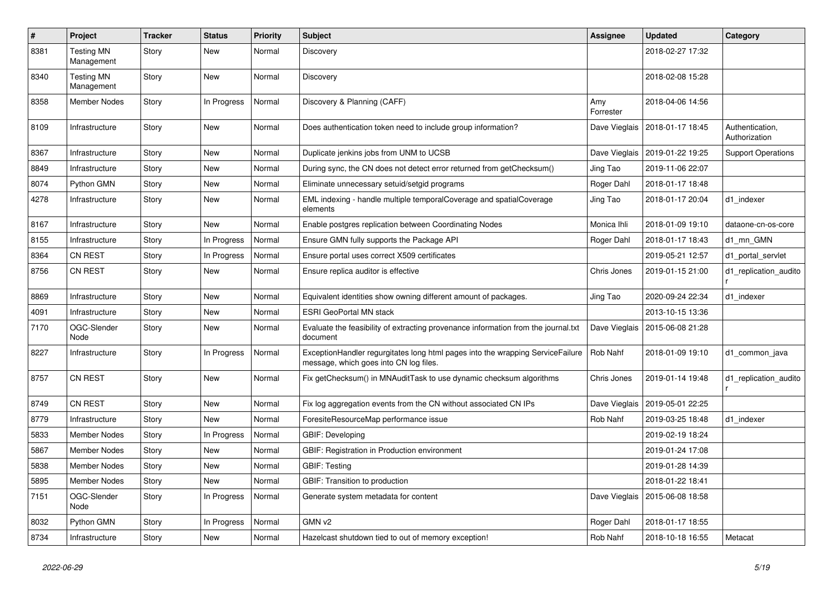| $\#$ | Project                         | <b>Tracker</b> | <b>Status</b> | <b>Priority</b> | <b>Subject</b>                                                                                                           | Assignee         | <b>Updated</b>   | Category                         |
|------|---------------------------------|----------------|---------------|-----------------|--------------------------------------------------------------------------------------------------------------------------|------------------|------------------|----------------------------------|
| 8381 | <b>Testing MN</b><br>Management | Story          | <b>New</b>    | Normal          | Discovery                                                                                                                |                  | 2018-02-27 17:32 |                                  |
| 8340 | <b>Testing MN</b><br>Management | Story          | New           | Normal          | Discovery                                                                                                                |                  | 2018-02-08 15:28 |                                  |
| 8358 | <b>Member Nodes</b>             | Story          | In Progress   | Normal          | Discovery & Planning (CAFF)                                                                                              | Amy<br>Forrester | 2018-04-06 14:56 |                                  |
| 8109 | Infrastructure                  | Story          | New           | Normal          | Does authentication token need to include group information?                                                             | Dave Vieglais    | 2018-01-17 18:45 | Authentication,<br>Authorization |
| 8367 | Infrastructure                  | Story          | <b>New</b>    | Normal          | Duplicate jenkins jobs from UNM to UCSB                                                                                  | Dave Vieglais    | 2019-01-22 19:25 | <b>Support Operations</b>        |
| 8849 | Infrastructure                  | Story          | <b>New</b>    | Normal          | During sync, the CN does not detect error returned from getChecksum()                                                    | Jing Tao         | 2019-11-06 22:07 |                                  |
| 8074 | Python GMN                      | Story          | New           | Normal          | Eliminate unnecessary setuid/setgid programs                                                                             | Roger Dahl       | 2018-01-17 18:48 |                                  |
| 4278 | Infrastructure                  | Story          | New           | Normal          | EML indexing - handle multiple temporalCoverage and spatialCoverage<br>elements                                          | Jing Tao         | 2018-01-17 20:04 | d1 indexer                       |
| 8167 | Infrastructure                  | Story          | <b>New</b>    | Normal          | Enable postgres replication between Coordinating Nodes                                                                   | Monica Ihli      | 2018-01-09 19:10 | dataone-cn-os-core               |
| 8155 | Infrastructure                  | Story          | In Progress   | Normal          | Ensure GMN fully supports the Package API                                                                                | Roger Dahl       | 2018-01-17 18:43 | d1 mn GMN                        |
| 8364 | <b>CN REST</b>                  | Story          | In Progress   | Normal          | Ensure portal uses correct X509 certificates                                                                             |                  | 2019-05-21 12:57 | d1_portal_servlet                |
| 8756 | <b>CN REST</b>                  | Story          | New           | Normal          | Ensure replica auditor is effective                                                                                      | Chris Jones      | 2019-01-15 21:00 | d1 replication audito            |
| 8869 | Infrastructure                  | Story          | <b>New</b>    | Normal          | Equivalent identities show owning different amount of packages.                                                          | Jing Tao         | 2020-09-24 22:34 | d1_indexer                       |
| 4091 | Infrastructure                  | Story          | New           | Normal          | <b>ESRI GeoPortal MN stack</b>                                                                                           |                  | 2013-10-15 13:36 |                                  |
| 7170 | OGC-Slender<br>Node             | Story          | New           | Normal          | Evaluate the feasibility of extracting provenance information from the journal.txt<br>document                           | Dave Vieglais    | 2015-06-08 21:28 |                                  |
| 8227 | Infrastructure                  | Story          | In Progress   | Normal          | ExceptionHandler regurgitates long html pages into the wrapping ServiceFailure<br>message, which goes into CN log files. | Rob Nahf         | 2018-01-09 19:10 | d1 common java                   |
| 8757 | <b>CN REST</b>                  | Story          | New           | Normal          | Fix getChecksum() in MNAuditTask to use dynamic checksum algorithms                                                      | Chris Jones      | 2019-01-14 19:48 | d1_replication_audito            |
| 8749 | CN REST                         | Story          | New           | Normal          | Fix log aggregation events from the CN without associated CN IPs                                                         | Dave Vieglais    | 2019-05-01 22:25 |                                  |
| 8779 | Infrastructure                  | Story          | <b>New</b>    | Normal          | ForesiteResourceMap performance issue                                                                                    | Rob Nahf         | 2019-03-25 18:48 | d1_indexer                       |
| 5833 | <b>Member Nodes</b>             | Story          | In Progress   | Normal          | GBIF: Developing                                                                                                         |                  | 2019-02-19 18:24 |                                  |
| 5867 | <b>Member Nodes</b>             | Story          | New           | Normal          | GBIF: Registration in Production environment                                                                             |                  | 2019-01-24 17:08 |                                  |
| 5838 | <b>Member Nodes</b>             | Story          | New           | Normal          | <b>GBIF: Testing</b>                                                                                                     |                  | 2019-01-28 14:39 |                                  |
| 5895 | <b>Member Nodes</b>             | Story          | <b>New</b>    | Normal          | GBIF: Transition to production                                                                                           |                  | 2018-01-22 18:41 |                                  |
| 7151 | OGC-Slender<br>Node             | Story          | In Progress   | Normal          | Generate system metadata for content                                                                                     | Dave Vieglais    | 2015-06-08 18:58 |                                  |
| 8032 | Python GMN                      | Story          | In Progress   | Normal          | GMN v2                                                                                                                   | Roger Dahl       | 2018-01-17 18:55 |                                  |
| 8734 | Infrastructure                  | Story          | New           | Normal          | Hazelcast shutdown tied to out of memory exception!                                                                      | Rob Nahf         | 2018-10-18 16:55 | Metacat                          |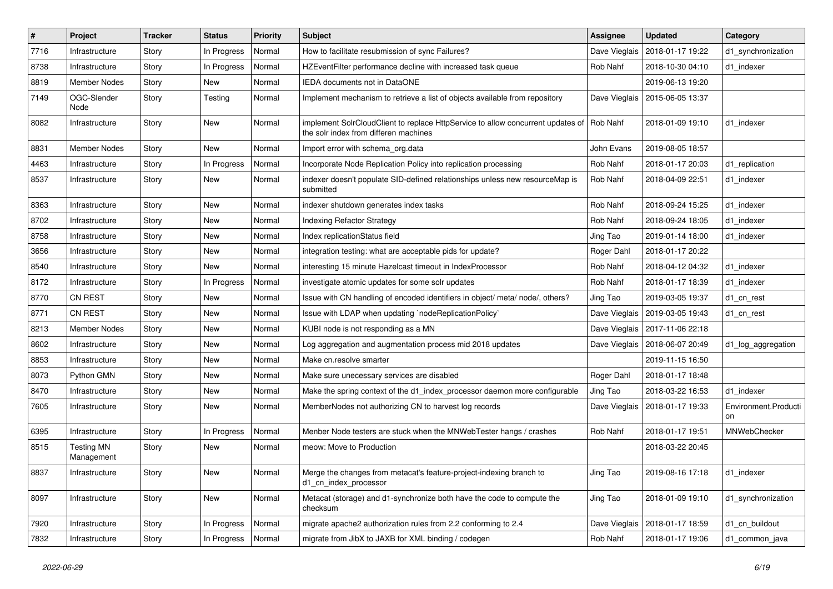| $\sharp$ | Project                         | <b>Tracker</b> | <b>Status</b> | <b>Priority</b> | Subject                                                                                                                             | Assignee      | <b>Updated</b>                   | Category                   |
|----------|---------------------------------|----------------|---------------|-----------------|-------------------------------------------------------------------------------------------------------------------------------------|---------------|----------------------------------|----------------------------|
| 7716     | Infrastructure                  | Story          | In Progress   | Normal          | How to facilitate resubmission of sync Failures?                                                                                    | Dave Vieglais | 2018-01-17 19:22                 | d1_synchronization         |
| 8738     | Infrastructure                  | Story          | In Progress   | Normal          | HZEventFilter performance decline with increased task queue                                                                         | Rob Nahf      | 2018-10-30 04:10                 | d1 indexer                 |
| 8819     | <b>Member Nodes</b>             | Story          | New           | Normal          | <b>IEDA</b> documents not in DataONE                                                                                                |               | 2019-06-13 19:20                 |                            |
| 7149     | OGC-Slender<br>Node             | Story          | Testing       | Normal          | Implement mechanism to retrieve a list of objects available from repository                                                         | Dave Vieglais | 2015-06-05 13:37                 |                            |
| 8082     | Infrastructure                  | Story          | New           | Normal          | implement SolrCloudClient to replace HttpService to allow concurrent updates of   Rob Nahf<br>the solr index from differen machines |               | 2018-01-09 19:10                 | d1 indexer                 |
| 8831     | <b>Member Nodes</b>             | Story          | New           | Normal          | Import error with schema org.data                                                                                                   | John Evans    | 2019-08-05 18:57                 |                            |
| 4463     | Infrastructure                  | Story          | In Progress   | Normal          | Incorporate Node Replication Policy into replication processing                                                                     | Rob Nahf      | 2018-01-17 20:03                 | d1_replication             |
| 8537     | Infrastructure                  | Story          | New           | Normal          | indexer doesn't populate SID-defined relationships unless new resourceMap is<br>submitted                                           | Rob Nahf      | 2018-04-09 22:51                 | d1 indexer                 |
| 8363     | Infrastructure                  | Story          | New           | Normal          | indexer shutdown generates index tasks                                                                                              | Rob Nahf      | 2018-09-24 15:25                 | d1 indexer                 |
| 8702     | Infrastructure                  | Story          | New           | Normal          | <b>Indexing Refactor Strategy</b>                                                                                                   | Rob Nahf      | 2018-09-24 18:05                 | d1_indexer                 |
| 8758     | Infrastructure                  | Story          | New           | Normal          | Index replicationStatus field                                                                                                       | Jing Tao      | 2019-01-14 18:00                 | d1 indexer                 |
| 3656     | Infrastructure                  | Story          | New           | Normal          | integration testing: what are acceptable pids for update?                                                                           | Roger Dahl    | 2018-01-17 20:22                 |                            |
| 8540     | Infrastructure                  | Story          | New           | Normal          | interesting 15 minute Hazelcast timeout in IndexProcessor                                                                           | Rob Nahf      | 2018-04-12 04:32                 | d1 indexer                 |
| 8172     | Infrastructure                  | Story          | In Progress   | Normal          | investigate atomic updates for some solr updates                                                                                    | Rob Nahf      | 2018-01-17 18:39                 | d1 indexer                 |
| 8770     | <b>CN REST</b>                  | Story          | New           | Normal          | Issue with CN handling of encoded identifiers in object/ meta/ node/, others?                                                       | Jing Tao      | 2019-03-05 19:37                 | d1 cn rest                 |
| 8771     | <b>CN REST</b>                  | Story          | New           | Normal          | Issue with LDAP when updating `nodeReplicationPolicy`                                                                               | Dave Vieglais | 2019-03-05 19:43                 | d1_cn_rest                 |
| 8213     | Member Nodes                    | Story          | New           | Normal          | KUBI node is not responding as a MN                                                                                                 |               | Dave Vieglais   2017-11-06 22:18 |                            |
| 8602     | Infrastructure                  | Story          | New           | Normal          | Log aggregation and augmentation process mid 2018 updates                                                                           | Dave Vieglais | 2018-06-07 20:49                 | d1_log_aggregation         |
| 8853     | Infrastructure                  | Story          | New           | Normal          | Make cn.resolve smarter                                                                                                             |               | 2019-11-15 16:50                 |                            |
| 8073     | Python GMN                      | Story          | New           | Normal          | Make sure unecessary services are disabled                                                                                          | Roger Dahl    | 2018-01-17 18:48                 |                            |
| 8470     | Infrastructure                  | Story          | New           | Normal          | Make the spring context of the d1_index_processor daemon more configurable                                                          | Jing Tao      | 2018-03-22 16:53                 | d1 indexer                 |
| 7605     | Infrastructure                  | Story          | New           | Normal          | MemberNodes not authorizing CN to harvest log records                                                                               | Dave Vieglais | 2018-01-17 19:33                 | Environment.Producti<br>on |
| 6395     | Infrastructure                  | Story          | In Progress   | Normal          | Menber Node testers are stuck when the MNWebTester hangs / crashes                                                                  | Rob Nahf      | 2018-01-17 19:51                 | MNWebChecker               |
| 8515     | <b>Testing MN</b><br>Management | Story          | New           | Normal          | meow: Move to Production                                                                                                            |               | 2018-03-22 20:45                 |                            |
| 8837     | Infrastructure                  | Story          | New           | Normal          | Merge the changes from metacat's feature-project-indexing branch to<br>d1_cn_index_processor                                        | Jing Tao      | 2019-08-16 17:18                 | d1_indexer                 |
| 8097     | Infrastructure                  | Story          | New           | Normal          | Metacat (storage) and d1-synchronize both have the code to compute the<br>checksum                                                  | Jing Tao      | 2018-01-09 19:10                 | d1_synchronization         |
| 7920     | Infrastructure                  | Story          | In Progress   | Normal          | migrate apache2 authorization rules from 2.2 conforming to 2.4                                                                      | Dave Vieglais | 2018-01-17 18:59                 | d1_cn_buildout             |
| 7832     | Infrastructure                  | Story          | In Progress   | Normal          | migrate from JibX to JAXB for XML binding / codegen                                                                                 | Rob Nahf      | 2018-01-17 19:06                 | d1 common java             |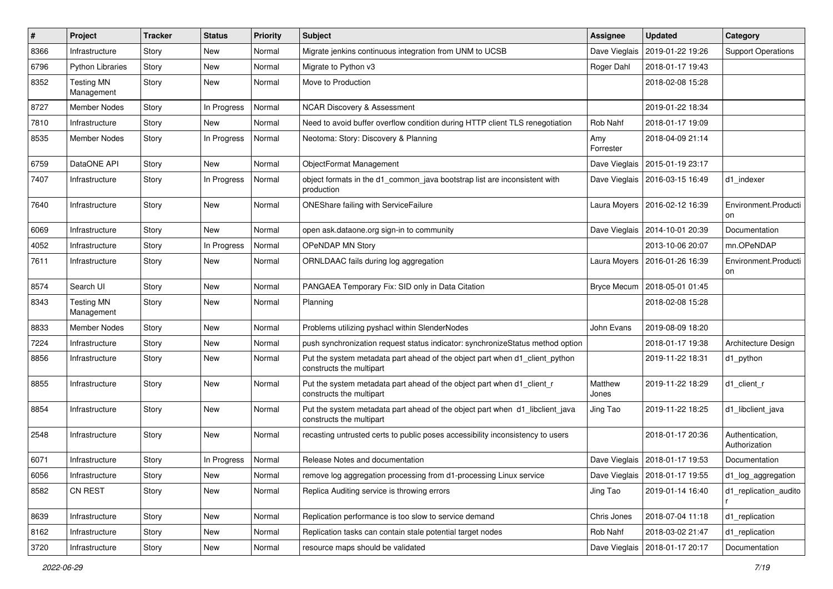| ∦    | <b>Project</b>                  | <b>Tracker</b> | <b>Status</b> | <b>Priority</b> | <b>Subject</b>                                                                                           | Assignee         | <b>Updated</b>                   | Category                         |
|------|---------------------------------|----------------|---------------|-----------------|----------------------------------------------------------------------------------------------------------|------------------|----------------------------------|----------------------------------|
| 8366 | Infrastructure                  | Story          | <b>New</b>    | Normal          | Migrate jenkins continuous integration from UNM to UCSB                                                  | Dave Vieglais    | 2019-01-22 19:26                 | <b>Support Operations</b>        |
| 6796 | <b>Python Libraries</b>         | Story          | <b>New</b>    | Normal          | Migrate to Python v3                                                                                     | Roger Dahl       | 2018-01-17 19:43                 |                                  |
| 8352 | <b>Testing MN</b><br>Management | Story          | New           | Normal          | Move to Production                                                                                       |                  | 2018-02-08 15:28                 |                                  |
| 8727 | Member Nodes                    | Story          | In Progress   | Normal          | <b>NCAR Discovery &amp; Assessment</b>                                                                   |                  | 2019-01-22 18:34                 |                                  |
| 7810 | Infrastructure                  | Story          | New           | Normal          | Need to avoid buffer overflow condition during HTTP client TLS renegotiation                             | Rob Nahf         | 2018-01-17 19:09                 |                                  |
| 8535 | Member Nodes                    | Story          | In Progress   | Normal          | Neotoma: Story: Discovery & Planning                                                                     | Amy<br>Forrester | 2018-04-09 21:14                 |                                  |
| 6759 | DataONE API                     | Story          | New           | Normal          | ObjectFormat Management                                                                                  |                  | Dave Vieglais   2015-01-19 23:17 |                                  |
| 7407 | Infrastructure                  | Story          | In Progress   | Normal          | object formats in the d1_common_java bootstrap list are inconsistent with<br>production                  | Dave Vieglais    | 2016-03-15 16:49                 | d1 indexer                       |
| 7640 | Infrastructure                  | Story          | New           | Normal          | ONEShare failing with ServiceFailure                                                                     |                  | Laura Moyers   2016-02-12 16:39  | Environment.Producti<br>on       |
| 6069 | Infrastructure                  | Story          | New           | Normal          | open ask.dataone.org sign-in to community                                                                | Dave Vieglais    | 2014-10-01 20:39                 | Documentation                    |
| 4052 | Infrastructure                  | Story          | In Progress   | Normal          | OPeNDAP MN Story                                                                                         |                  | 2013-10-06 20:07                 | mn.OPeNDAP                       |
| 7611 | Infrastructure                  | Story          | New           | Normal          | ORNLDAAC fails during log aggregation                                                                    |                  | Laura Moyers   2016-01-26 16:39  | Environment.Producti<br>on       |
| 8574 | Search UI                       | Story          | New           | Normal          | PANGAEA Temporary Fix: SID only in Data Citation                                                         |                  | Bryce Mecum   2018-05-01 01:45   |                                  |
| 8343 | <b>Testing MN</b><br>Management | Story          | New           | Normal          | Planning                                                                                                 |                  | 2018-02-08 15:28                 |                                  |
| 8833 | Member Nodes                    | Story          | <b>New</b>    | Normal          | Problems utilizing pyshacl within SlenderNodes                                                           | John Evans       | 2019-08-09 18:20                 |                                  |
| 7224 | Infrastructure                  | Story          | New           | Normal          | push synchronization request status indicator: synchronizeStatus method option                           |                  | 2018-01-17 19:38                 | Architecture Design              |
| 8856 | Infrastructure                  | Story          | New           | Normal          | Put the system metadata part ahead of the object part when d1_client_python<br>constructs the multipart  |                  | 2019-11-22 18:31                 | d1_python                        |
| 8855 | Infrastructure                  | Story          | New           | Normal          | Put the system metadata part ahead of the object part when d1_client_r<br>constructs the multipart       | Matthew<br>Jones | 2019-11-22 18:29                 | d1 client r                      |
| 8854 | Infrastructure                  | Story          | New           | Normal          | Put the system metadata part ahead of the object part when d1_libclient_java<br>constructs the multipart | Jing Tao         | 2019-11-22 18:25                 | d1_libclient_java                |
| 2548 | Infrastructure                  | Story          | New           | Normal          | recasting untrusted certs to public poses accessibility inconsistency to users                           |                  | 2018-01-17 20:36                 | Authentication,<br>Authorization |
| 6071 | Infrastructure                  | Story          | In Progress   | Normal          | Release Notes and documentation                                                                          |                  | Dave Vieglais   2018-01-17 19:53 | Documentation                    |
| 6056 | Infrastructure                  | Story          | New           | Normal          | remove log aggregation processing from d1-processing Linux service                                       |                  | Dave Vieglais   2018-01-17 19:55 | d1_log_aggregation               |
| 8582 | CN REST                         | Story          | New           | Normal          | Replica Auditing service is throwing errors                                                              | Jing Tao         | 2019-01-14 16:40                 | d1_replication_audito            |
| 8639 | Infrastructure                  | Story          | New           | Normal          | Replication performance is too slow to service demand                                                    | Chris Jones      | 2018-07-04 11:18                 | d1_replication                   |
| 8162 | Infrastructure                  | Story          | New           | Normal          | Replication tasks can contain stale potential target nodes                                               | Rob Nahf         | 2018-03-02 21:47                 | d1_replication                   |
| 3720 | Infrastructure                  | Story          | New           | Normal          | resource maps should be validated                                                                        |                  | Dave Vieglais   2018-01-17 20:17 | Documentation                    |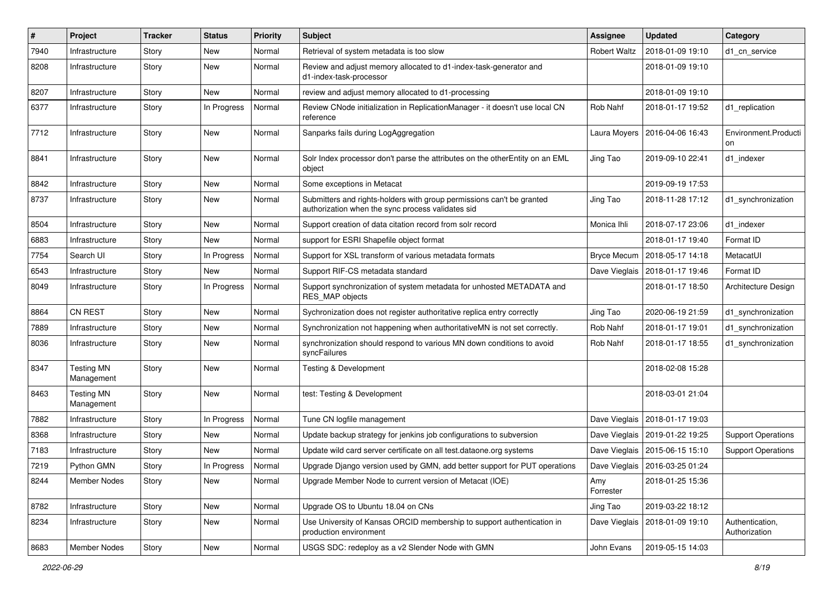| $\pmb{\#}$ | Project                         | <b>Tracker</b> | <b>Status</b> | <b>Priority</b> | <b>Subject</b>                                                                                                             | <b>Assignee</b>     | <b>Updated</b>                   | Category                         |
|------------|---------------------------------|----------------|---------------|-----------------|----------------------------------------------------------------------------------------------------------------------------|---------------------|----------------------------------|----------------------------------|
| 7940       | Infrastructure                  | Story          | New           | Normal          | Retrieval of system metadata is too slow                                                                                   | <b>Robert Waltz</b> | 2018-01-09 19:10                 | d1 cn service                    |
| 8208       | Infrastructure                  | Story          | New           | Normal          | Review and adjust memory allocated to d1-index-task-generator and<br>d1-index-task-processor                               |                     | 2018-01-09 19:10                 |                                  |
| 8207       | Infrastructure                  | Story          | New           | Normal          | review and adjust memory allocated to d1-processing                                                                        |                     | 2018-01-09 19:10                 |                                  |
| 6377       | Infrastructure                  | Story          | In Progress   | Normal          | Review CNode initialization in ReplicationManager - it doesn't use local CN<br>reference                                   | Rob Nahf            | 2018-01-17 19:52                 | d1 replication                   |
| 7712       | Infrastructure                  | Story          | New           | Normal          | Sanparks fails during LogAggregation                                                                                       | Laura Moyers        | 2016-04-06 16:43                 | Environment.Producti<br>on       |
| 8841       | Infrastructure                  | Story          | New           | Normal          | Solr Index processor don't parse the attributes on the otherEntity on an EML<br>object                                     | Jing Tao            | 2019-09-10 22:41                 | d1 indexer                       |
| 8842       | Infrastructure                  | Story          | New           | Normal          | Some exceptions in Metacat                                                                                                 |                     | 2019-09-19 17:53                 |                                  |
| 8737       | Infrastructure                  | Story          | New           | Normal          | Submitters and rights-holders with group permissions can't be granted<br>authorization when the sync process validates sid | Jing Tao            | 2018-11-28 17:12                 | d1_synchronization               |
| 8504       | Infrastructure                  | Story          | New           | Normal          | Support creation of data citation record from solr record                                                                  | Monica Ihli         | 2018-07-17 23:06                 | d1_indexer                       |
| 6883       | Infrastructure                  | Story          | New           | Normal          | support for ESRI Shapefile object format                                                                                   |                     | 2018-01-17 19:40                 | Format ID                        |
| 7754       | Search UI                       | Story          | In Progress   | Normal          | Support for XSL transform of various metadata formats                                                                      | <b>Bryce Mecum</b>  | 2018-05-17 14:18                 | MetacatUI                        |
| 6543       | Infrastructure                  | Story          | New           | Normal          | Support RIF-CS metadata standard                                                                                           | Dave Vieglais       | 2018-01-17 19:46                 | Format ID                        |
| 8049       | Infrastructure                  | Story          | In Progress   | Normal          | Support synchronization of system metadata for unhosted METADATA and<br>RES MAP objects                                    |                     | 2018-01-17 18:50                 | Architecture Design              |
| 8864       | <b>CN REST</b>                  | Story          | New           | Normal          | Sychronization does not register authoritative replica entry correctly                                                     | Jing Tao            | 2020-06-19 21:59                 | d1_synchronization               |
| 7889       | Infrastructure                  | Story          | New           | Normal          | Synchronization not happening when authoritativeMN is not set correctly.                                                   | Rob Nahf            | 2018-01-17 19:01                 | d1_synchronization               |
| 8036       | Infrastructure                  | Story          | New           | Normal          | synchronization should respond to various MN down conditions to avoid<br>syncFailures                                      | Rob Nahf            | 2018-01-17 18:55                 | d1_synchronization               |
| 8347       | <b>Testing MN</b><br>Management | Story          | New           | Normal          | <b>Testing &amp; Development</b>                                                                                           |                     | 2018-02-08 15:28                 |                                  |
| 8463       | <b>Testing MN</b><br>Management | Story          | <b>New</b>    | Normal          | test: Testing & Development                                                                                                |                     | 2018-03-01 21:04                 |                                  |
| 7882       | Infrastructure                  | Story          | In Progress   | Normal          | Tune CN logfile management                                                                                                 | Dave Vieglais       | 2018-01-17 19:03                 |                                  |
| 8368       | Infrastructure                  | Story          | New           | Normal          | Update backup strategy for jenkins job configurations to subversion                                                        | Dave Vieglais       | 2019-01-22 19:25                 | <b>Support Operations</b>        |
| 7183       | Infrastructure                  | Story          | New           | Normal          | Update wild card server certificate on all test.dataone.org systems                                                        | Dave Vieglais       | 2015-06-15 15:10                 | <b>Support Operations</b>        |
| 7219       | Python GMN                      | Story          | In Progress   | Normal          | Upgrade Django version used by GMN, add better support for PUT operations                                                  |                     | Dave Vieglais   2016-03-25 01:24 |                                  |
| 8244       | Member Nodes                    | Story          | New           | Normal          | Upgrade Member Node to current version of Metacat (IOE)                                                                    | Amy<br>Forrester    | 2018-01-25 15:36                 |                                  |
| 8782       | Infrastructure                  | Story          | New           | Normal          | Upgrade OS to Ubuntu 18.04 on CNs                                                                                          | Jing Tao            | 2019-03-22 18:12                 |                                  |
| 8234       | Infrastructure                  | Story          | New           | Normal          | Use University of Kansas ORCID membership to support authentication in<br>production environment                           | Dave Vieglais       | 2018-01-09 19:10                 | Authentication,<br>Authorization |
| 8683       | Member Nodes                    | Story          | New           | Normal          | USGS SDC: redeploy as a v2 Slender Node with GMN                                                                           | John Evans          | 2019-05-15 14:03                 |                                  |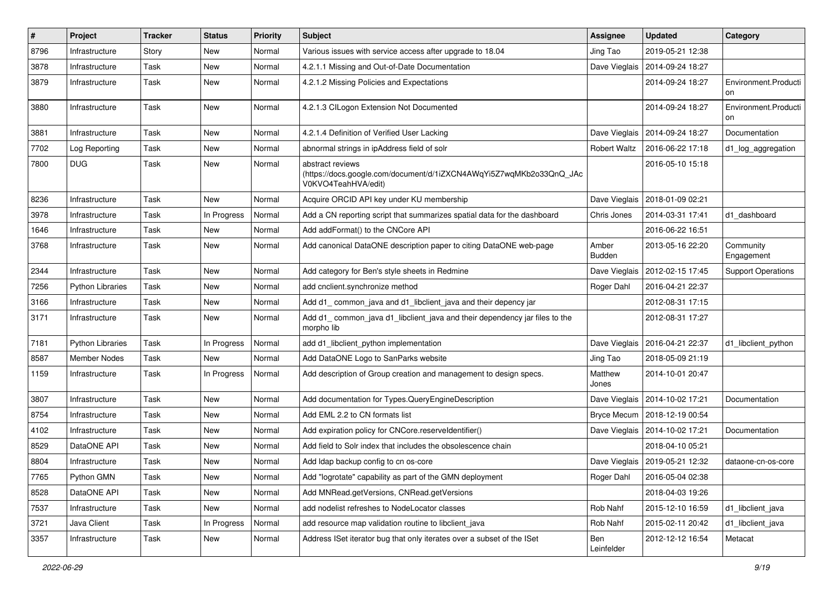| $\#$ | Project                 | <b>Tracker</b> | <b>Status</b> | <b>Priority</b> | <b>Subject</b>                                                                                                 | Assignee               | <b>Updated</b>                   | Category                   |
|------|-------------------------|----------------|---------------|-----------------|----------------------------------------------------------------------------------------------------------------|------------------------|----------------------------------|----------------------------|
| 8796 | Infrastructure          | Story          | New           | Normal          | Various issues with service access after upgrade to 18.04                                                      | Jing Tao               | 2019-05-21 12:38                 |                            |
| 3878 | Infrastructure          | Task           | New           | Normal          | 4.2.1.1 Missing and Out-of-Date Documentation                                                                  | Dave Vieglais          | 2014-09-24 18:27                 |                            |
| 3879 | Infrastructure          | Task           | New           | Normal          | 4.2.1.2 Missing Policies and Expectations                                                                      |                        | 2014-09-24 18:27                 | Environment.Producti<br>on |
| 3880 | Infrastructure          | Task           | New           | Normal          | 4.2.1.3 CILogon Extension Not Documented                                                                       |                        | 2014-09-24 18:27                 | Environment.Producti<br>on |
| 3881 | Infrastructure          | Task           | New           | Normal          | 4.2.1.4 Definition of Verified User Lacking                                                                    | Dave Vieglais          | 2014-09-24 18:27                 | Documentation              |
| 7702 | Log Reporting           | Task           | New           | Normal          | abnormal strings in ipAddress field of solr                                                                    | <b>Robert Waltz</b>    | 2016-06-22 17:18                 | d1_log_aggregation         |
| 7800 | <b>DUG</b>              | Task           | New           | Normal          | abstract reviews<br>(https://docs.google.com/document/d/1iZXCN4AWqYi5Z7wqMKb2o33QnQ_JAc<br>V0KVO4TeahHVA/edit) |                        | 2016-05-10 15:18                 |                            |
| 8236 | Infrastructure          | Task           | New           | Normal          | Acquire ORCID API key under KU membership                                                                      |                        | Dave Vieglais   2018-01-09 02:21 |                            |
| 3978 | Infrastructure          | Task           | In Progress   | Normal          | Add a CN reporting script that summarizes spatial data for the dashboard                                       | Chris Jones            | 2014-03-31 17:41                 | d1_dashboard               |
| 1646 | Infrastructure          | Task           | New           | Normal          | Add addFormat() to the CNCore API                                                                              |                        | 2016-06-22 16:51                 |                            |
| 3768 | Infrastructure          | Task           | New           | Normal          | Add canonical DataONE description paper to citing DataONE web-page                                             | Amber<br><b>Budden</b> | 2013-05-16 22:20                 | Community<br>Engagement    |
| 2344 | Infrastructure          | Task           | <b>New</b>    | Normal          | Add category for Ben's style sheets in Redmine                                                                 | Dave Vieglais          | 2012-02-15 17:45                 | <b>Support Operations</b>  |
| 7256 | <b>Python Libraries</b> | Task           | <b>New</b>    | Normal          | add cnclient.synchronize method                                                                                | Roger Dahl             | 2016-04-21 22:37                 |                            |
| 3166 | Infrastructure          | Task           | New           | Normal          | Add d1 common java and d1 libclient java and their depency jar                                                 |                        | 2012-08-31 17:15                 |                            |
| 3171 | Infrastructure          | Task           | New           | Normal          | Add d1_common_java d1_libclient_java and their dependency jar files to the<br>morpho lib                       |                        | 2012-08-31 17:27                 |                            |
| 7181 | <b>Python Libraries</b> | Task           | In Progress   | Normal          | add d1 libclient python implementation                                                                         | Dave Vieglais          | 2016-04-21 22:37                 | d1 libclient python        |
| 8587 | <b>Member Nodes</b>     | Task           | New           | Normal          | Add DataONE Logo to SanParks website                                                                           | Jing Tao               | 2018-05-09 21:19                 |                            |
| 1159 | Infrastructure          | Task           | In Progress   | Normal          | Add description of Group creation and management to design specs.                                              | Matthew<br>Jones       | 2014-10-01 20:47                 |                            |
| 3807 | Infrastructure          | Task           | <b>New</b>    | Normal          | Add documentation for Types.QueryEngineDescription                                                             |                        | Dave Vieglais   2014-10-02 17:21 | Documentation              |
| 8754 | Infrastructure          | Task           | New           | Normal          | Add EML 2.2 to CN formats list                                                                                 |                        | Bryce Mecum   2018-12-19 00:54   |                            |
| 4102 | Infrastructure          | Task           | New           | Normal          | Add expiration policy for CNCore.reserveldentifier()                                                           |                        | Dave Vieglais   2014-10-02 17:21 | Documentation              |
| 8529 | DataONE API             | Task           | New           | Normal          | Add field to Solr index that includes the obsolescence chain                                                   |                        | 2018-04-10 05:21                 |                            |
| 8804 | Infrastructure          | Task           | New           | Normal          | Add Idap backup config to cn os-core                                                                           |                        | Dave Vieglais   2019-05-21 12:32 | dataone-cn-os-core         |
| 7765 | Python GMN              | Task           | New           | Normal          | Add "logrotate" capability as part of the GMN deployment                                                       | Roger Dahl             | 2016-05-04 02:38                 |                            |
| 8528 | DataONE API             | Task           | New           | Normal          | Add MNRead.getVersions, CNRead.getVersions                                                                     |                        | 2018-04-03 19:26                 |                            |
| 7537 | Infrastructure          | Task           | New           | Normal          | add nodelist refreshes to NodeLocator classes                                                                  | Rob Nahf               | 2015-12-10 16:59                 | d1_libclient_java          |
| 3721 | Java Client             | Task           | In Progress   | Normal          | add resource map validation routine to libclient_java                                                          | Rob Nahf               | 2015-02-11 20:42                 | d1_libclient_java          |
| 3357 | Infrastructure          | Task           | New           | Normal          | Address ISet iterator bug that only iterates over a subset of the ISet                                         | Ben<br>Leinfelder      | 2012-12-12 16:54                 | Metacat                    |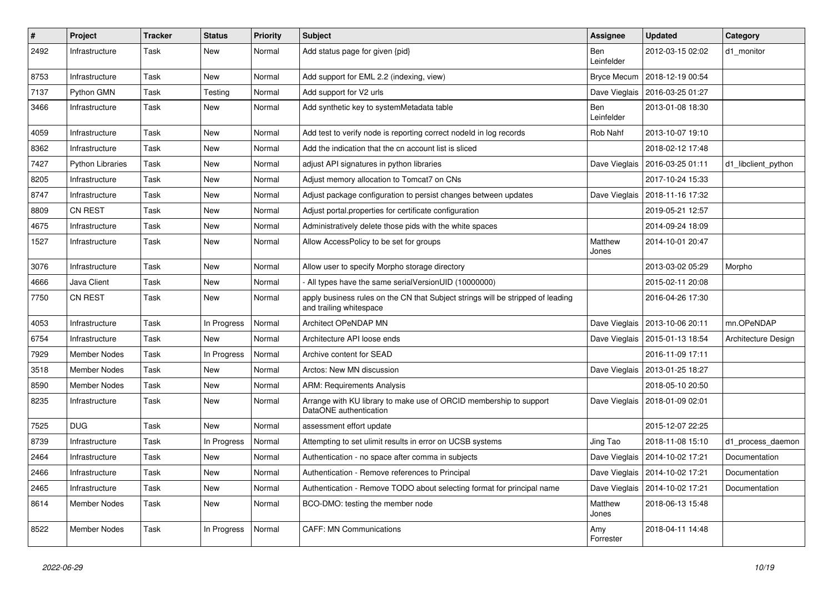| $\vert$ # | Project                 | <b>Tracker</b> | <b>Status</b> | <b>Priority</b> | <b>Subject</b>                                                                                             | <b>Assignee</b>   | <b>Updated</b>                   | Category            |
|-----------|-------------------------|----------------|---------------|-----------------|------------------------------------------------------------------------------------------------------------|-------------------|----------------------------------|---------------------|
| 2492      | Infrastructure          | Task           | <b>New</b>    | Normal          | Add status page for given {pid}                                                                            | Ben<br>Leinfelder | 2012-03-15 02:02                 | d1_monitor          |
| 8753      | Infrastructure          | Task           | <b>New</b>    | Normal          | Add support for EML 2.2 (indexing, view)                                                                   | Bryce Mecum       | 2018-12-19 00:54                 |                     |
| 7137      | Python GMN              | Task           | Testing       | Normal          | Add support for V2 urls                                                                                    | Dave Vieglais     | 2016-03-25 01:27                 |                     |
| 3466      | Infrastructure          | Task           | <b>New</b>    | Normal          | Add synthetic key to systemMetadata table                                                                  | Ben<br>Leinfelder | 2013-01-08 18:30                 |                     |
| 4059      | Infrastructure          | Task           | New           | Normal          | Add test to verify node is reporting correct nodeld in log records                                         | Rob Nahf          | 2013-10-07 19:10                 |                     |
| 8362      | Infrastructure          | Task           | <b>New</b>    | Normal          | Add the indication that the cn account list is sliced                                                      |                   | 2018-02-12 17:48                 |                     |
| 7427      | <b>Python Libraries</b> | Task           | <b>New</b>    | Normal          | adjust API signatures in python libraries                                                                  | Dave Vieglais     | 2016-03-25 01:11                 | d1 libclient python |
| 8205      | Infrastructure          | Task           | <b>New</b>    | Normal          | Adjust memory allocation to Tomcat7 on CNs                                                                 |                   | 2017-10-24 15:33                 |                     |
| 8747      | Infrastructure          | Task           | New           | Normal          | Adjust package configuration to persist changes between updates                                            | Dave Vieglais     | 2018-11-16 17:32                 |                     |
| 8809      | <b>CN REST</b>          | Task           | <b>New</b>    | Normal          | Adjust portal properties for certificate configuration                                                     |                   | 2019-05-21 12:57                 |                     |
| 4675      | Infrastructure          | Task           | <b>New</b>    | Normal          | Administratively delete those pids with the white spaces                                                   |                   | 2014-09-24 18:09                 |                     |
| 1527      | Infrastructure          | Task           | <b>New</b>    | Normal          | Allow AccessPolicy to be set for groups                                                                    | Matthew<br>Jones  | 2014-10-01 20:47                 |                     |
| 3076      | Infrastructure          | Task           | <b>New</b>    | Normal          | Allow user to specify Morpho storage directory                                                             |                   | 2013-03-02 05:29                 | Morpho              |
| 4666      | Java Client             | Task           | <b>New</b>    | Normal          | All types have the same serialVersionUID (10000000)                                                        |                   | 2015-02-11 20:08                 |                     |
| 7750      | <b>CN REST</b>          | Task           | <b>New</b>    | Normal          | apply business rules on the CN that Subject strings will be stripped of leading<br>and trailing whitespace |                   | 2016-04-26 17:30                 |                     |
| 4053      | Infrastructure          | Task           | In Progress   | Normal          | Architect OPeNDAP MN                                                                                       | Dave Vieglais     | 2013-10-06 20:11                 | mn.OPeNDAP          |
| 6754      | Infrastructure          | Task           | New           | Normal          | Architecture API loose ends                                                                                |                   | Dave Vieglais   2015-01-13 18:54 | Architecture Design |
| 7929      | <b>Member Nodes</b>     | Task           | In Progress   | Normal          | Archive content for SEAD                                                                                   |                   | 2016-11-09 17:11                 |                     |
| 3518      | Member Nodes            | Task           | New           | Normal          | Arctos: New MN discussion                                                                                  | Dave Vieglais     | 2013-01-25 18:27                 |                     |
| 8590      | <b>Member Nodes</b>     | Task           | New           | Normal          | <b>ARM: Requirements Analysis</b>                                                                          |                   | 2018-05-10 20:50                 |                     |
| 8235      | Infrastructure          | Task           | New           | Normal          | Arrange with KU library to make use of ORCID membership to support<br>DataONE authentication               |                   | Dave Vieglais   2018-01-09 02:01 |                     |
| 7525      | <b>DUG</b>              | Task           | <b>New</b>    | Normal          | assessment effort update                                                                                   |                   | 2015-12-07 22:25                 |                     |
| 8739      | Infrastructure          | Task           | In Progress   | Normal          | Attempting to set ulimit results in error on UCSB systems                                                  | Jing Tao          | 2018-11-08 15:10                 | d1 process daemon   |
| 2464      | Infrastructure          | Task           | New           | Normal          | Authentication - no space after comma in subjects                                                          | Dave Vieglais     | 2014-10-02 17:21                 | Documentation       |
| 2466      | Infrastructure          | Task           | New           | Normal          | Authentication - Remove references to Principal                                                            | Dave Vieglais     | 2014-10-02 17:21                 | Documentation       |
| 2465      | Infrastructure          | Task           | New           | Normal          | Authentication - Remove TODO about selecting format for principal name                                     | Dave Vieglais     | 2014-10-02 17:21                 | Documentation       |
| 8614      | <b>Member Nodes</b>     | Task           | New           | Normal          | BCO-DMO: testing the member node                                                                           | Matthew<br>Jones  | 2018-06-13 15:48                 |                     |
| 8522      | Member Nodes            | Task           | In Progress   | Normal          | <b>CAFF: MN Communications</b>                                                                             | Amy<br>Forrester  | 2018-04-11 14:48                 |                     |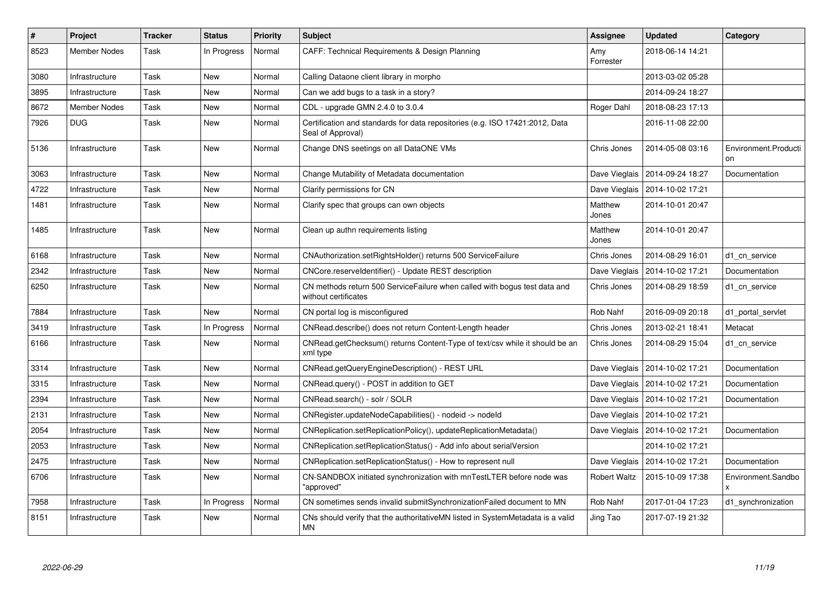| $\vert$ # | <b>Project</b>      | <b>Tracker</b> | <b>Status</b> | <b>Priority</b> | <b>Subject</b>                                                                                    | <b>Assignee</b>  | <b>Updated</b>                   | Category                   |
|-----------|---------------------|----------------|---------------|-----------------|---------------------------------------------------------------------------------------------------|------------------|----------------------------------|----------------------------|
| 8523      | <b>Member Nodes</b> | Task           | In Progress   | Normal          | CAFF: Technical Requirements & Design Planning                                                    | Amy<br>Forrester | 2018-06-14 14:21                 |                            |
| 3080      | Infrastructure      | Task           | New           | Normal          | Calling Dataone client library in morpho                                                          |                  | 2013-03-02 05:28                 |                            |
| 3895      | Infrastructure      | Task           | New           | Normal          | Can we add bugs to a task in a story?                                                             |                  | 2014-09-24 18:27                 |                            |
| 8672      | <b>Member Nodes</b> | Task           | New           | Normal          | CDL - upgrade GMN 2.4.0 to 3.0.4                                                                  | Roger Dahl       | 2018-08-23 17:13                 |                            |
| 7926      | <b>DUG</b>          | Task           | New           | Normal          | Certification and standards for data repositories (e.g. ISO 17421:2012, Data<br>Seal of Approval) |                  | 2016-11-08 22:00                 |                            |
| 5136      | Infrastructure      | Task           | New           | Normal          | Change DNS seetings on all DataONE VMs                                                            | Chris Jones      | 2014-05-08 03:16                 | Environment.Producti<br>on |
| 3063      | Infrastructure      | Task           | <b>New</b>    | Normal          | Change Mutability of Metadata documentation                                                       | Dave Vieglais    | 2014-09-24 18:27                 | Documentation              |
| 4722      | Infrastructure      | Task           | New           | Normal          | Clarify permissions for CN                                                                        | Dave Vieglais    | 2014-10-02 17:21                 |                            |
| 1481      | Infrastructure      | Task           | <b>New</b>    | Normal          | Clarify spec that groups can own objects                                                          | Matthew<br>Jones | 2014-10-01 20:47                 |                            |
| 1485      | Infrastructure      | Task           | <b>New</b>    | Normal          | Clean up authn requirements listing                                                               | Matthew<br>Jones | 2014-10-01 20:47                 |                            |
| 6168      | Infrastructure      | Task           | New           | Normal          | CNAuthorization.setRightsHolder() returns 500 ServiceFailure                                      | Chris Jones      | 2014-08-29 16:01                 | d1 cn service              |
| 2342      | Infrastructure      | Task           | <b>New</b>    | Normal          | CNCore.reserveldentifier() - Update REST description                                              | Dave Vieglais    | 2014-10-02 17:21                 | Documentation              |
| 6250      | Infrastructure      | Task           | <b>New</b>    | Normal          | CN methods return 500 ServiceFailure when called with bogus test data and<br>without certificates | Chris Jones      | 2014-08-29 18:59                 | d1_cn_service              |
| 7884      | Infrastructure      | Task           | <b>New</b>    | Normal          | CN portal log is misconfigured                                                                    | Rob Nahf         | 2016-09-09 20:18                 | d1 portal servlet          |
| 3419      | Infrastructure      | Task           | In Progress   | Normal          | CNRead.describe() does not return Content-Length header                                           | Chris Jones      | 2013-02-21 18:41                 | Metacat                    |
| 6166      | Infrastructure      | Task           | New           | Normal          | CNRead.getChecksum() returns Content-Type of text/csv while it should be an<br>xml type           | Chris Jones      | 2014-08-29 15:04                 | d1_cn_service              |
| 3314      | Infrastructure      | Task           | <b>New</b>    | Normal          | CNRead.getQueryEngineDescription() - REST URL                                                     | Dave Vieglais    | 2014-10-02 17:21                 | Documentation              |
| 3315      | Infrastructure      | Task           | <b>New</b>    | Normal          | CNRead.query() - POST in addition to GET                                                          | Dave Vieglais    | 2014-10-02 17:21                 | Documentation              |
| 2394      | Infrastructure      | Task           | <b>New</b>    | Normal          | CNRead.search() - solr / SOLR                                                                     | Dave Vieglais    | 2014-10-02 17:21                 | Documentation              |
| 2131      | Infrastructure      | Task           | New           | Normal          | CNRegister.updateNodeCapabilities() - nodeid -> nodeld                                            |                  | Dave Vieglais   2014-10-02 17:21 |                            |
| 2054      | Infrastructure      | Task           | New           | Normal          | CNReplication.setReplicationPolicy(), updateReplicationMetadata()                                 | Dave Vieglais    | 2014-10-02 17:21                 | Documentation              |
| 2053      | Infrastructure      | Task           | New           | Normal          | CNReplication.setReplicationStatus() - Add info about serialVersion                               |                  | 2014-10-02 17:21                 |                            |
| 2475      | Infrastructure      | Task           | <b>New</b>    | Normal          | CNReplication.setReplicationStatus() - How to represent null                                      | Dave Vieglais    | 2014-10-02 17:21                 | Documentation              |
| 6706      | Infrastructure      | Task           | <b>New</b>    | Normal          | CN-SANDBOX initiated synchronization with mnTestLTER before node was<br>'approved"                | Robert Waltz     | 2015-10-09 17:38                 | Environment.Sandbo         |
| 7958      | Infrastructure      | Task           | In Progress   | Normal          | CN sometimes sends invalid submitSynchronizationFailed document to MN                             | Rob Nahf         | 2017-01-04 17:23                 | d1_synchronization         |
| 8151      | Infrastructure      | Task           | <b>New</b>    | Normal          | CNs should verify that the authoritative MN listed in System Metadata is a valid<br><b>MN</b>     | Jing Tao         | 2017-07-19 21:32                 |                            |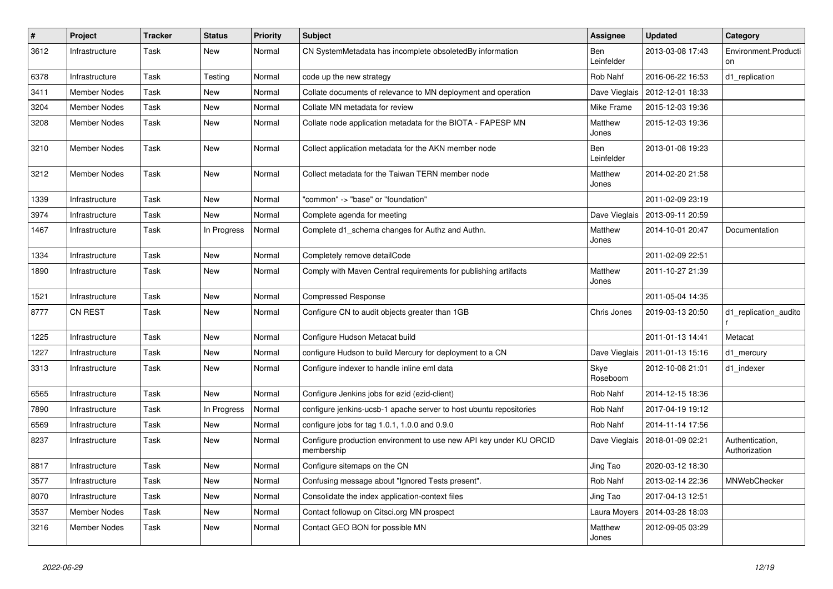| $\pmb{\#}$ | Project             | <b>Tracker</b> | <b>Status</b> | <b>Priority</b> | <b>Subject</b>                                                                   | <b>Assignee</b>   | <b>Updated</b>                   | Category                         |
|------------|---------------------|----------------|---------------|-----------------|----------------------------------------------------------------------------------|-------------------|----------------------------------|----------------------------------|
| 3612       | Infrastructure      | Task           | New           | Normal          | CN SystemMetadata has incomplete obsoletedBy information                         | Ben<br>Leinfelder | 2013-03-08 17:43                 | Environment.Producti             |
| 6378       | Infrastructure      | Task           | Testing       | Normal          | code up the new strategy                                                         | Rob Nahf          | 2016-06-22 16:53                 | d1_replication                   |
| 3411       | <b>Member Nodes</b> | Task           | <b>New</b>    | Normal          | Collate documents of relevance to MN deployment and operation                    | Dave Vieglais     | 2012-12-01 18:33                 |                                  |
| 3204       | <b>Member Nodes</b> | Task           | <b>New</b>    | Normal          | Collate MN metadata for review                                                   | Mike Frame        | 2015-12-03 19:36                 |                                  |
| 3208       | <b>Member Nodes</b> | Task           | <b>New</b>    | Normal          | Collate node application metadata for the BIOTA - FAPESP MN                      | Matthew<br>Jones  | 2015-12-03 19:36                 |                                  |
| 3210       | <b>Member Nodes</b> | Task           | New           | Normal          | Collect application metadata for the AKN member node                             | Ben<br>Leinfelder | 2013-01-08 19:23                 |                                  |
| 3212       | Member Nodes        | Task           | New           | Normal          | Collect metadata for the Taiwan TERN member node                                 | Matthew<br>Jones  | 2014-02-20 21:58                 |                                  |
| 1339       | Infrastructure      | Task           | <b>New</b>    | Normal          | "common" -> "base" or "foundation"                                               |                   | 2011-02-09 23:19                 |                                  |
| 3974       | Infrastructure      | Task           | New           | Normal          | Complete agenda for meeting                                                      | Dave Vieglais     | 2013-09-11 20:59                 |                                  |
| 1467       | Infrastructure      | Task           | In Progress   | Normal          | Complete d1 schema changes for Authz and Authn.                                  | Matthew<br>Jones  | 2014-10-01 20:47                 | Documentation                    |
| 1334       | Infrastructure      | Task           | New           | Normal          | Completely remove detailCode                                                     |                   | 2011-02-09 22:51                 |                                  |
| 1890       | Infrastructure      | Task           | New           | Normal          | Comply with Maven Central requirements for publishing artifacts                  | Matthew<br>Jones  | 2011-10-27 21:39                 |                                  |
| 1521       | Infrastructure      | Task           | <b>New</b>    | Normal          | <b>Compressed Response</b>                                                       |                   | 2011-05-04 14:35                 |                                  |
| 8777       | <b>CN REST</b>      | Task           | New           | Normal          | Configure CN to audit objects greater than 1GB                                   | Chris Jones       | 2019-03-13 20:50                 | d1 replication audito            |
| 1225       | Infrastructure      | Task           | <b>New</b>    | Normal          | Configure Hudson Metacat build                                                   |                   | 2011-01-13 14:41                 | Metacat                          |
| 1227       | Infrastructure      | Task           | New           | Normal          | configure Hudson to build Mercury for deployment to a CN                         | Dave Vieglais     | 2011-01-13 15:16                 | d1_mercury                       |
| 3313       | Infrastructure      | Task           | New           | Normal          | Configure indexer to handle inline eml data                                      | Skye<br>Roseboom  | 2012-10-08 21:01                 | d1_indexer                       |
| 6565       | Infrastructure      | Task           | <b>New</b>    | Normal          | Configure Jenkins jobs for ezid (ezid-client)                                    | Rob Nahf          | 2014-12-15 18:36                 |                                  |
| 7890       | Infrastructure      | Task           | In Progress   | Normal          | configure jenkins-ucsb-1 apache server to host ubuntu repositories               | Rob Nahf          | 2017-04-19 19:12                 |                                  |
| 6569       | Infrastructure      | Task           | New           | Normal          | configure jobs for tag $1.0.1$ , $1.0.0$ and $0.9.0$                             | Rob Nahf          | 2014-11-14 17:56                 |                                  |
| 8237       | Infrastructure      | Task           | New           | Normal          | Configure production environment to use new API key under KU ORCID<br>membership |                   | Dave Vieglais   2018-01-09 02:21 | Authentication,<br>Authorization |
| 8817       | Infrastructure      | Task           | <b>New</b>    | Normal          | Configure sitemaps on the CN                                                     | Jing Tao          | 2020-03-12 18:30                 |                                  |
| 3577       | Infrastructure      | Task           | New           | Normal          | Confusing message about "Ignored Tests present".                                 | Rob Nahf          | 2013-02-14 22:36                 | MNWebChecker                     |
| 8070       | Infrastructure      | Task           | New           | Normal          | Consolidate the index application-context files                                  | Jing Tao          | 2017-04-13 12:51                 |                                  |
| 3537       | Member Nodes        | Task           | New           | Normal          | Contact followup on Citsci.org MN prospect                                       | Laura Moyers      | 2014-03-28 18:03                 |                                  |
| 3216       | <b>Member Nodes</b> | Task           | <b>New</b>    | Normal          | Contact GEO BON for possible MN                                                  | Matthew<br>Jones  | 2012-09-05 03:29                 |                                  |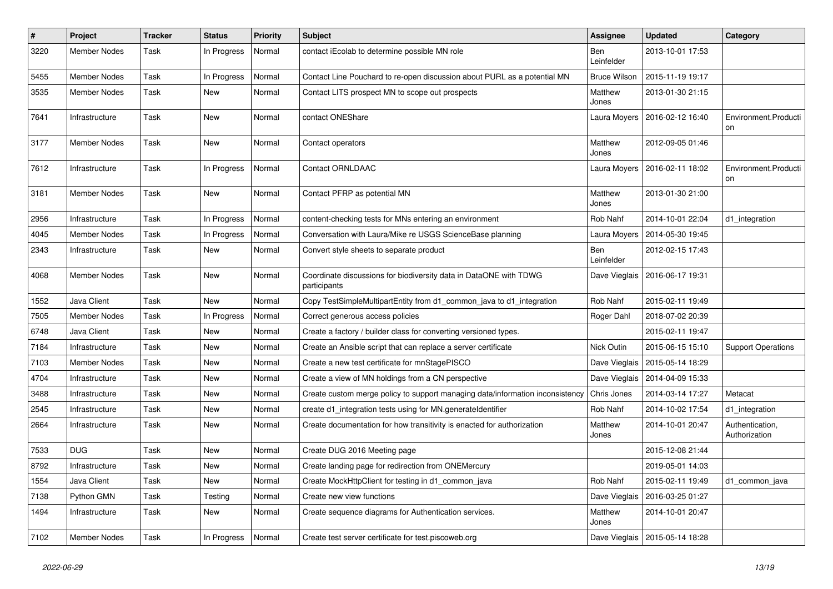| $\vert$ # | Project             | <b>Tracker</b> | <b>Status</b> | <b>Priority</b> | <b>Subject</b>                                                                    | Assignee            | <b>Updated</b>                   | Category                         |
|-----------|---------------------|----------------|---------------|-----------------|-----------------------------------------------------------------------------------|---------------------|----------------------------------|----------------------------------|
| 3220      | <b>Member Nodes</b> | Task           | In Progress   | Normal          | contact iEcolab to determine possible MN role                                     | Ben<br>Leinfelder   | 2013-10-01 17:53                 |                                  |
| 5455      | <b>Member Nodes</b> | Task           | In Progress   | Normal          | Contact Line Pouchard to re-open discussion about PURL as a potential MN          | <b>Bruce Wilson</b> | 2015-11-19 19:17                 |                                  |
| 3535      | <b>Member Nodes</b> | Task           | New           | Normal          | Contact LITS prospect MN to scope out prospects                                   | Matthew<br>Jones    | 2013-01-30 21:15                 |                                  |
| 7641      | Infrastructure      | Task           | New           | Normal          | contact ONEShare                                                                  | Laura Moyers        | 2016-02-12 16:40                 | Environment.Producti<br>on       |
| 3177      | Member Nodes        | Task           | New           | Normal          | Contact operators                                                                 | Matthew<br>Jones    | 2012-09-05 01:46                 |                                  |
| 7612      | Infrastructure      | Task           | In Progress   | Normal          | <b>Contact ORNLDAAC</b>                                                           | Laura Moyers        | 2016-02-11 18:02                 | Environment.Producti<br>on       |
| 3181      | <b>Member Nodes</b> | Task           | New           | Normal          | Contact PFRP as potential MN                                                      | Matthew<br>Jones    | 2013-01-30 21:00                 |                                  |
| 2956      | Infrastructure      | Task           | In Progress   | Normal          | content-checking tests for MNs entering an environment                            | Rob Nahf            | 2014-10-01 22:04                 | d1 integration                   |
| 4045      | <b>Member Nodes</b> | Task           | In Progress   | Normal          | Conversation with Laura/Mike re USGS ScienceBase planning                         | Laura Moyers        | 2014-05-30 19:45                 |                                  |
| 2343      | Infrastructure      | Task           | New           | Normal          | Convert style sheets to separate product                                          | Ben<br>Leinfelder   | 2012-02-15 17:43                 |                                  |
| 4068      | <b>Member Nodes</b> | Task           | New           | Normal          | Coordinate discussions for biodiversity data in DataONE with TDWG<br>participants | Dave Vieglais       | 2016-06-17 19:31                 |                                  |
| 1552      | Java Client         | Task           | <b>New</b>    | Normal          | Copy TestSimpleMultipartEntity from d1_common_java to d1_integration              | Rob Nahf            | 2015-02-11 19:49                 |                                  |
| 7505      | <b>Member Nodes</b> | Task           | In Progress   | Normal          | Correct generous access policies                                                  | Roger Dahl          | 2018-07-02 20:39                 |                                  |
| 6748      | Java Client         | Task           | New           | Normal          | Create a factory / builder class for converting versioned types.                  |                     | 2015-02-11 19:47                 |                                  |
| 7184      | Infrastructure      | Task           | New           | Normal          | Create an Ansible script that can replace a server certificate                    | Nick Outin          | 2015-06-15 15:10                 | <b>Support Operations</b>        |
| 7103      | <b>Member Nodes</b> | Task           | <b>New</b>    | Normal          | Create a new test certificate for mnStagePISCO                                    | Dave Vieglais       | 2015-05-14 18:29                 |                                  |
| 4704      | Infrastructure      | Task           | New           | Normal          | Create a view of MN holdings from a CN perspective                                | Dave Vieglais       | 2014-04-09 15:33                 |                                  |
| 3488      | Infrastructure      | Task           | New           | Normal          | Create custom merge policy to support managing data/information inconsistency     | Chris Jones         | 2014-03-14 17:27                 | Metacat                          |
| 2545      | Infrastructure      | Task           | New           | Normal          | create d1_integration tests using for MN.generateIdentifier                       | Rob Nahf            | 2014-10-02 17:54                 | d1_integration                   |
| 2664      | Infrastructure      | Task           | New           | Normal          | Create documentation for how transitivity is enacted for authorization            | Matthew<br>Jones    | 2014-10-01 20:47                 | Authentication,<br>Authorization |
| 7533      | <b>DUG</b>          | Task           | New           | Normal          | Create DUG 2016 Meeting page                                                      |                     | 2015-12-08 21:44                 |                                  |
| 8792      | Infrastructure      | Task           | New           | Normal          | Create landing page for redirection from ONEMercury                               |                     | 2019-05-01 14:03                 |                                  |
| 1554      | Java Client         | Task           | <b>New</b>    | Normal          | Create MockHttpClient for testing in d1_common_java                               | Rob Nahf            | 2015-02-11 19:49                 | d1 common java                   |
| 7138      | Python GMN          | Task           | Testing       | Normal          | Create new view functions                                                         | Dave Vieglais       | 2016-03-25 01:27                 |                                  |
| 1494      | Infrastructure      | Task           | New           | Normal          | Create sequence diagrams for Authentication services.                             | Matthew<br>Jones    | 2014-10-01 20:47                 |                                  |
| 7102      | Member Nodes        | Task           | In Progress   | Normal          | Create test server certificate for test piscoweb org                              |                     | Dave Vieglais   2015-05-14 18:28 |                                  |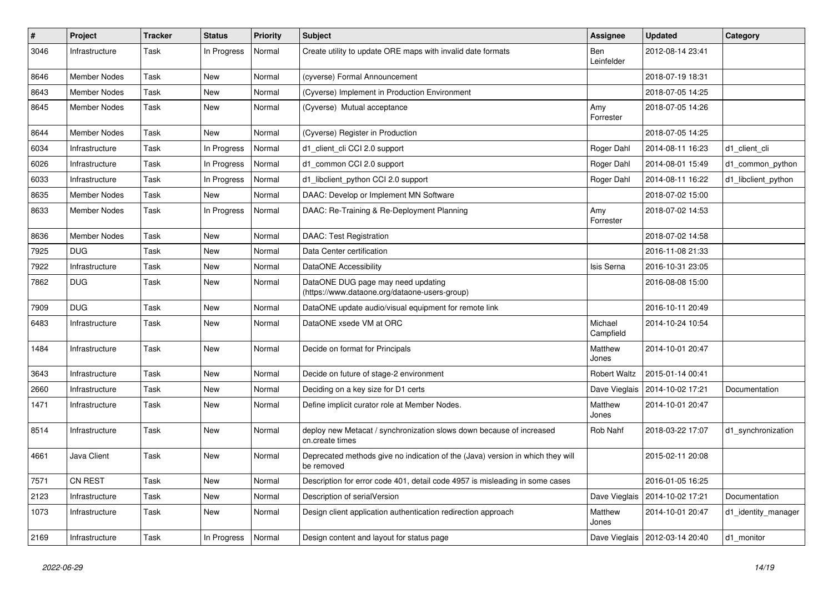| $\#$ | Project             | <b>Tracker</b> | <b>Status</b> | <b>Priority</b> | <b>Subject</b>                                                                               | Assignee             | <b>Updated</b>                   | Category            |
|------|---------------------|----------------|---------------|-----------------|----------------------------------------------------------------------------------------------|----------------------|----------------------------------|---------------------|
| 3046 | Infrastructure      | Task           | In Progress   | Normal          | Create utility to update ORE maps with invalid date formats                                  | Ben<br>Leinfelder    | 2012-08-14 23:41                 |                     |
| 8646 | <b>Member Nodes</b> | Task           | New           | Normal          | (cyverse) Formal Announcement                                                                |                      | 2018-07-19 18:31                 |                     |
| 8643 | <b>Member Nodes</b> | Task           | New           | Normal          | (Cyverse) Implement in Production Environment                                                |                      | 2018-07-05 14:25                 |                     |
| 8645 | Member Nodes        | Task           | New           | Normal          | (Cyverse) Mutual acceptance                                                                  | Amy<br>Forrester     | 2018-07-05 14:26                 |                     |
| 8644 | <b>Member Nodes</b> | Task           | New           | Normal          | (Cyverse) Register in Production                                                             |                      | 2018-07-05 14:25                 |                     |
| 6034 | Infrastructure      | Task           | In Progress   | Normal          | d1 client cli CCI 2.0 support                                                                | Roger Dahl           | 2014-08-11 16:23                 | d1 client cli       |
| 6026 | Infrastructure      | Task           | In Progress   | Normal          | d1_common CCI 2.0 support                                                                    | Roger Dahl           | 2014-08-01 15:49                 | d1_common_python    |
| 6033 | Infrastructure      | Task           | In Progress   | Normal          | d1_libclient_python CCI 2.0 support                                                          | Roger Dahl           | 2014-08-11 16:22                 | d1_libclient_python |
| 8635 | Member Nodes        | Task           | New           | Normal          | DAAC: Develop or Implement MN Software                                                       |                      | 2018-07-02 15:00                 |                     |
| 8633 | Member Nodes        | Task           | In Progress   | Normal          | DAAC: Re-Training & Re-Deployment Planning                                                   | Amy<br>Forrester     | 2018-07-02 14:53                 |                     |
| 8636 | Member Nodes        | Task           | New           | Normal          | <b>DAAC: Test Registration</b>                                                               |                      | 2018-07-02 14:58                 |                     |
| 7925 | <b>DUG</b>          | Task           | New           | Normal          | Data Center certification                                                                    |                      | 2016-11-08 21:33                 |                     |
| 7922 | Infrastructure      | Task           | New           | Normal          | DataONE Accessibility                                                                        | Isis Serna           | 2016-10-31 23:05                 |                     |
| 7862 | <b>DUG</b>          | Task           | New           | Normal          | DataONE DUG page may need updating<br>(https://www.dataone.org/dataone-users-group)          |                      | 2016-08-08 15:00                 |                     |
| 7909 | <b>DUG</b>          | Task           | New           | Normal          | DataONE update audio/visual equipment for remote link                                        |                      | 2016-10-11 20:49                 |                     |
| 6483 | Infrastructure      | Task           | New           | Normal          | DataONE xsede VM at ORC                                                                      | Michael<br>Campfield | 2014-10-24 10:54                 |                     |
| 1484 | Infrastructure      | Task           | New           | Normal          | Decide on format for Principals                                                              | Matthew<br>Jones     | 2014-10-01 20:47                 |                     |
| 3643 | Infrastructure      | Task           | New           | Normal          | Decide on future of stage-2 environment                                                      | <b>Robert Waltz</b>  | 2015-01-14 00:41                 |                     |
| 2660 | Infrastructure      | Task           | New           | Normal          | Deciding on a key size for D1 certs                                                          |                      | Dave Vieglais   2014-10-02 17:21 | Documentation       |
| 1471 | Infrastructure      | Task           | New           | Normal          | Define implicit curator role at Member Nodes.                                                | Matthew<br>Jones     | 2014-10-01 20:47                 |                     |
| 8514 | Infrastructure      | Task           | New           | Normal          | deploy new Metacat / synchronization slows down because of increased<br>cn.create times      | Rob Nahf             | 2018-03-22 17:07                 | d1_synchronization  |
| 4661 | Java Client         | Task           | New           | Normal          | Deprecated methods give no indication of the (Java) version in which they will<br>be removed |                      | 2015-02-11 20:08                 |                     |
| 7571 | CN REST             | Task           | New           | Normal          | Description for error code 401, detail code 4957 is misleading in some cases                 |                      | 2016-01-05 16:25                 |                     |
| 2123 | Infrastructure      | Task           | New           | Normal          | Description of serialVersion                                                                 | Dave Vieglais        | 2014-10-02 17:21                 | Documentation       |
| 1073 | Infrastructure      | Task           | New           | Normal          | Design client application authentication redirection approach                                | Matthew<br>Jones     | 2014-10-01 20:47                 | d1_identity_manager |
| 2169 | Infrastructure      | Task           | In Progress   | Normal          | Design content and layout for status page                                                    |                      | Dave Vieglais   2012-03-14 20:40 | d1_monitor          |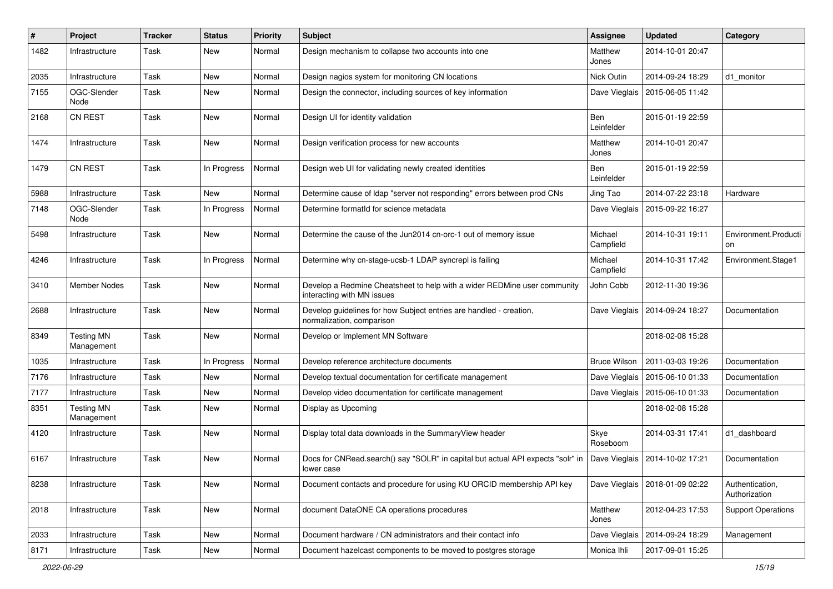| #    | Project                         | <b>Tracker</b> | <b>Status</b> | <b>Priority</b> | <b>Subject</b>                                                                                         | Assignee             | <b>Updated</b>                   | Category                         |
|------|---------------------------------|----------------|---------------|-----------------|--------------------------------------------------------------------------------------------------------|----------------------|----------------------------------|----------------------------------|
| 1482 | Infrastructure                  | Task           | New           | Normal          | Design mechanism to collapse two accounts into one                                                     | Matthew<br>Jones     | 2014-10-01 20:47                 |                                  |
| 2035 | Infrastructure                  | Task           | New           | Normal          | Design nagios system for monitoring CN locations                                                       | Nick Outin           | 2014-09-24 18:29                 | d1 monitor                       |
| 7155 | OGC-Slender<br>Node             | Task           | New           | Normal          | Design the connector, including sources of key information                                             |                      | Dave Vieglais   2015-06-05 11:42 |                                  |
| 2168 | <b>CN REST</b>                  | Task           | New           | Normal          | Design UI for identity validation                                                                      | Ben<br>Leinfelder    | 2015-01-19 22:59                 |                                  |
| 1474 | Infrastructure                  | Task           | New           | Normal          | Design verification process for new accounts                                                           | Matthew<br>Jones     | 2014-10-01 20:47                 |                                  |
| 1479 | <b>CN REST</b>                  | Task           | In Progress   | Normal          | Design web UI for validating newly created identities                                                  | Ben<br>Leinfelder    | 2015-01-19 22:59                 |                                  |
| 5988 | Infrastructure                  | Task           | New           | Normal          | Determine cause of Idap "server not responding" errors between prod CNs                                | Jing Tao             | 2014-07-22 23:18                 | Hardware                         |
| 7148 | OGC-Slender<br>Node             | Task           | In Progress   | Normal          | Determine formatId for science metadata                                                                | Dave Vieglais        | 2015-09-22 16:27                 |                                  |
| 5498 | Infrastructure                  | Task           | New           | Normal          | Determine the cause of the Jun2014 cn-orc-1 out of memory issue                                        | Michael<br>Campfield | 2014-10-31 19:11                 | Environment.Producti<br>on       |
| 4246 | Infrastructure                  | Task           | In Progress   | Normal          | Determine why cn-stage-ucsb-1 LDAP syncrepl is failing                                                 | Michael<br>Campfield | 2014-10-31 17:42                 | Environment.Stage1               |
| 3410 | Member Nodes                    | Task           | New           | Normal          | Develop a Redmine Cheatsheet to help with a wider REDMine user community<br>interacting with MN issues | John Cobb            | 2012-11-30 19:36                 |                                  |
| 2688 | Infrastructure                  | Task           | New           | Normal          | Develop guidelines for how Subject entries are handled - creation,<br>normalization, comparison        | Dave Vieglais        | 2014-09-24 18:27                 | Documentation                    |
| 8349 | <b>Testing MN</b><br>Management | Task           | New           | Normal          | Develop or Implement MN Software                                                                       |                      | 2018-02-08 15:28                 |                                  |
| 1035 | Infrastructure                  | Task           | In Progress   | Normal          | Develop reference architecture documents                                                               | <b>Bruce Wilson</b>  | 2011-03-03 19:26                 | Documentation                    |
| 7176 | Infrastructure                  | Task           | New           | Normal          | Develop textual documentation for certificate management                                               |                      | Dave Vieglais   2015-06-10 01:33 | Documentation                    |
| 7177 | Infrastructure                  | Task           | New           | Normal          | Develop video documentation for certificate management                                                 | Dave Vieglais        | 2015-06-10 01:33                 | Documentation                    |
| 8351 | <b>Testing MN</b><br>Management | Task           | New           | Normal          | Display as Upcoming                                                                                    |                      | 2018-02-08 15:28                 |                                  |
| 4120 | Infrastructure                  | Task           | New           | Normal          | Display total data downloads in the SummaryView header                                                 | Skye<br>Roseboom     | 2014-03-31 17:41                 | d1 dashboard                     |
| 6167 | Infrastructure                  | Task           | New           | Normal          | Docs for CNRead.search() say "SOLR" in capital but actual API expects "solr" in<br>lower case          |                      | Dave Vieglais   2014-10-02 17:21 | Documentation                    |
| 8238 | Infrastructure                  | Task           | New           | Normal          | Document contacts and procedure for using KU ORCID membership API key                                  |                      | Dave Vieglais   2018-01-09 02:22 | Authentication,<br>Authorization |
| 2018 | Infrastructure                  | Task           | New           | Normal          | document DataONE CA operations procedures                                                              | Matthew<br>Jones     | 2012-04-23 17:53                 | <b>Support Operations</b>        |
| 2033 | Infrastructure                  | Task           | New           | Normal          | Document hardware / CN administrators and their contact info                                           | Dave Vieglais        | 2014-09-24 18:29                 | Management                       |
| 8171 | Infrastructure                  | Task           | New           | Normal          | Document hazelcast components to be moved to postgres storage                                          | Monica Ihli          | 2017-09-01 15:25                 |                                  |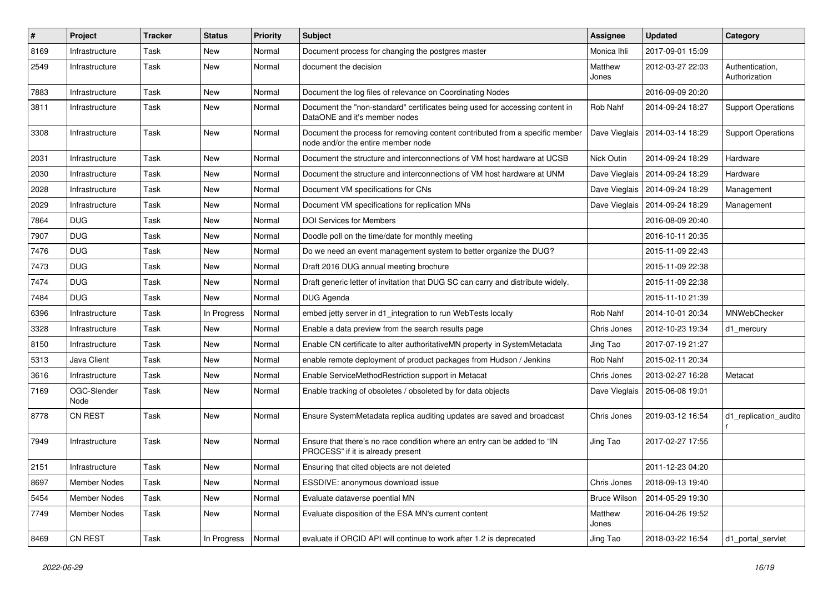| $\pmb{\#}$ | Project             | <b>Tracker</b> | <b>Status</b> | <b>Priority</b> | Subject                                                                                                            | Assignee            | <b>Updated</b>                   | Category                         |
|------------|---------------------|----------------|---------------|-----------------|--------------------------------------------------------------------------------------------------------------------|---------------------|----------------------------------|----------------------------------|
| 8169       | Infrastructure      | Task           | New           | Normal          | Document process for changing the postgres master                                                                  | Monica Ihli         | 2017-09-01 15:09                 |                                  |
| 2549       | Infrastructure      | Task           | New           | Normal          | document the decision                                                                                              | Matthew<br>Jones    | 2012-03-27 22:03                 | Authentication,<br>Authorization |
| 7883       | Infrastructure      | Task           | <b>New</b>    | Normal          | Document the log files of relevance on Coordinating Nodes                                                          |                     | 2016-09-09 20:20                 |                                  |
| 3811       | Infrastructure      | Task           | New           | Normal          | Document the "non-standard" certificates being used for accessing content in<br>DataONE and it's member nodes      | Rob Nahf            | 2014-09-24 18:27                 | <b>Support Operations</b>        |
| 3308       | Infrastructure      | Task           | New           | Normal          | Document the process for removing content contributed from a specific member<br>node and/or the entire member node |                     | Dave Vieglais   2014-03-14 18:29 | <b>Support Operations</b>        |
| 2031       | Infrastructure      | Task           | New           | Normal          | Document the structure and interconnections of VM host hardware at UCSB                                            | Nick Outin          | 2014-09-24 18:29                 | Hardware                         |
| 2030       | Infrastructure      | Task           | <b>New</b>    | Normal          | Document the structure and interconnections of VM host hardware at UNM                                             | Dave Vieglais       | 2014-09-24 18:29                 | Hardware                         |
| 2028       | Infrastructure      | Task           | New           | Normal          | Document VM specifications for CNs                                                                                 |                     | Dave Vieglais   2014-09-24 18:29 | Management                       |
| 2029       | Infrastructure      | Task           | <b>New</b>    | Normal          | Document VM specifications for replication MNs                                                                     |                     | Dave Vieglais   2014-09-24 18:29 | Management                       |
| 7864       | <b>DUG</b>          | Task           | New           | Normal          | <b>DOI Services for Members</b>                                                                                    |                     | 2016-08-09 20:40                 |                                  |
| 7907       | <b>DUG</b>          | Task           | New           | Normal          | Doodle poll on the time/date for monthly meeting                                                                   |                     | 2016-10-11 20:35                 |                                  |
| 7476       | <b>DUG</b>          | Task           | New           | Normal          | Do we need an event management system to better organize the DUG?                                                  |                     | 2015-11-09 22:43                 |                                  |
| 7473       | <b>DUG</b>          | Task           | New           | Normal          | Draft 2016 DUG annual meeting brochure                                                                             |                     | 2015-11-09 22:38                 |                                  |
| 7474       | <b>DUG</b>          | Task           | New           | Normal          | Draft generic letter of invitation that DUG SC can carry and distribute widely.                                    |                     | 2015-11-09 22:38                 |                                  |
| 7484       | <b>DUG</b>          | Task           | New           | Normal          | DUG Agenda                                                                                                         |                     | 2015-11-10 21:39                 |                                  |
| 6396       | Infrastructure      | Task           | In Progress   | Normal          | embed jetty server in d1 integration to run WebTests locally                                                       | Rob Nahf            | 2014-10-01 20:34                 | MNWebChecker                     |
| 3328       | Infrastructure      | Task           | New           | Normal          | Enable a data preview from the search results page                                                                 | Chris Jones         | 2012-10-23 19:34                 | d1_mercury                       |
| 8150       | Infrastructure      | Task           | New           | Normal          | Enable CN certificate to alter authoritativeMN property in SystemMetadata                                          | Jing Tao            | 2017-07-19 21:27                 |                                  |
| 5313       | Java Client         | Task           | New           | Normal          | enable remote deployment of product packages from Hudson / Jenkins                                                 | Rob Nahf            | 2015-02-11 20:34                 |                                  |
| 3616       | Infrastructure      | Task           | New           | Normal          | Enable ServiceMethodRestriction support in Metacat                                                                 | Chris Jones         | 2013-02-27 16:28                 | Metacat                          |
| 7169       | OGC-Slender<br>Node | Task           | New           | Normal          | Enable tracking of obsoletes / obsoleted by for data objects                                                       | Dave Vieglais       | 2015-06-08 19:01                 |                                  |
| 8778       | <b>CN REST</b>      | Task           | <b>New</b>    | Normal          | Ensure SystemMetadata replica auditing updates are saved and broadcast                                             | Chris Jones         | 2019-03-12 16:54                 | d1_replication_audito            |
| 7949       | Infrastructure      | Task           | New           | Normal          | Ensure that there's no race condition where an entry can be added to "IN<br>PROCESS" if it is already present      | Jing Tao            | 2017-02-27 17:55                 |                                  |
| 2151       | Infrastructure      | Task           | New           | Normal          | Ensuring that cited objects are not deleted                                                                        |                     | 2011-12-23 04:20                 |                                  |
| 8697       | Member Nodes        | Task           | New           | Normal          | ESSDIVE: anonymous download issue                                                                                  | Chris Jones         | 2018-09-13 19:40                 |                                  |
| 5454       | Member Nodes        | Task           | New           | Normal          | Evaluate dataverse poential MN                                                                                     | <b>Bruce Wilson</b> | 2014-05-29 19:30                 |                                  |
| 7749       | <b>Member Nodes</b> | Task           | New           | Normal          | Evaluate disposition of the ESA MN's current content                                                               | Matthew<br>Jones    | 2016-04-26 19:52                 |                                  |
| 8469       | CN REST             | Task           | In Progress   | Normal          | evaluate if ORCID API will continue to work after 1.2 is deprecated                                                | Jing Tao            | 2018-03-22 16:54                 | d1_portal_servlet                |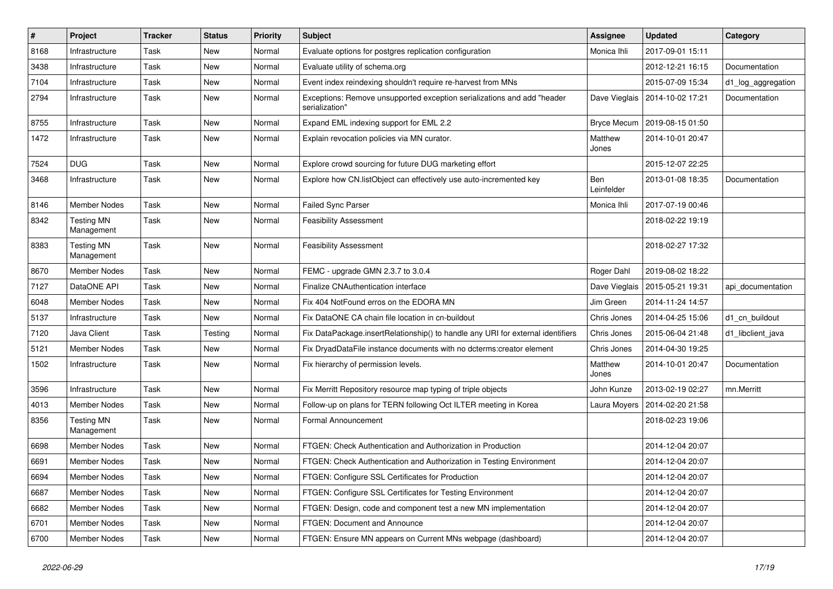| $\sharp$ | Project                         | <b>Tracker</b> | <b>Status</b> | <b>Priority</b> | <b>Subject</b>                                                                            | Assignee          | <b>Updated</b>   | Category           |
|----------|---------------------------------|----------------|---------------|-----------------|-------------------------------------------------------------------------------------------|-------------------|------------------|--------------------|
| 8168     | Infrastructure                  | Task           | New           | Normal          | Evaluate options for postgres replication configuration                                   | Monica Ihli       | 2017-09-01 15:11 |                    |
| 3438     | Infrastructure                  | Task           | New           | Normal          | Evaluate utility of schema.org                                                            |                   | 2012-12-21 16:15 | Documentation      |
| 7104     | Infrastructure                  | Task           | New           | Normal          | Event index reindexing shouldn't require re-harvest from MNs                              |                   | 2015-07-09 15:34 | d1_log_aggregation |
| 2794     | Infrastructure                  | Task           | New           | Normal          | Exceptions: Remove unsupported exception serializations and add "header<br>serialization" | Dave Vieglais     | 2014-10-02 17:21 | Documentation      |
| 8755     | Infrastructure                  | Task           | New           | Normal          | Expand EML indexing support for EML 2.2                                                   | Bryce Mecum       | 2019-08-15 01:50 |                    |
| 1472     | Infrastructure                  | Task           | New           | Normal          | Explain revocation policies via MN curator.                                               | Matthew<br>Jones  | 2014-10-01 20:47 |                    |
| 7524     | <b>DUG</b>                      | Task           | New           | Normal          | Explore crowd sourcing for future DUG marketing effort                                    |                   | 2015-12-07 22:25 |                    |
| 3468     | Infrastructure                  | Task           | New           | Normal          | Explore how CN.listObject can effectively use auto-incremented key                        | Ben<br>Leinfelder | 2013-01-08 18:35 | Documentation      |
| 8146     | <b>Member Nodes</b>             | Task           | New           | Normal          | Failed Sync Parser                                                                        | Monica Ihli       | 2017-07-19 00:46 |                    |
| 8342     | <b>Testing MN</b><br>Management | Task           | New           | Normal          | <b>Feasibility Assessment</b>                                                             |                   | 2018-02-22 19:19 |                    |
| 8383     | <b>Testing MN</b><br>Management | Task           | New           | Normal          | <b>Feasibility Assessment</b>                                                             |                   | 2018-02-27 17:32 |                    |
| 8670     | <b>Member Nodes</b>             | Task           | New           | Normal          | FEMC - upgrade GMN 2.3.7 to 3.0.4                                                         | Roger Dahl        | 2019-08-02 18:22 |                    |
| 7127     | DataONE API                     | Task           | <b>New</b>    | Normal          | <b>Finalize CNAuthentication interface</b>                                                | Dave Vieglais     | 2015-05-21 19:31 | api_documentation  |
| 6048     | <b>Member Nodes</b>             | Task           | New           | Normal          | Fix 404 NotFound erros on the EDORA MN                                                    | Jim Green         | 2014-11-24 14:57 |                    |
| 5137     | Infrastructure                  | Task           | New           | Normal          | Fix DataONE CA chain file location in cn-buildout                                         | Chris Jones       | 2014-04-25 15:06 | d1_cn_buildout     |
| 7120     | Java Client                     | Task           | Testing       | Normal          | Fix DataPackage.insertRelationship() to handle any URI for external identifiers           | Chris Jones       | 2015-06-04 21:48 | d1_libclient_java  |
| 5121     | <b>Member Nodes</b>             | Task           | New           | Normal          | Fix DryadDataFile instance documents with no dcterms:creator element                      | Chris Jones       | 2014-04-30 19:25 |                    |
| 1502     | Infrastructure                  | Task           | New           | Normal          | Fix hierarchy of permission levels.                                                       | Matthew<br>Jones  | 2014-10-01 20:47 | Documentation      |
| 3596     | Infrastructure                  | Task           | New           | Normal          | Fix Merritt Repository resource map typing of triple objects                              | John Kunze        | 2013-02-19 02:27 | mn.Merritt         |
| 4013     | <b>Member Nodes</b>             | Task           | New           | Normal          | Follow-up on plans for TERN following Oct ILTER meeting in Korea                          | Laura Moyers      | 2014-02-20 21:58 |                    |
| 8356     | <b>Testing MN</b><br>Management | Task           | New           | Normal          | <b>Formal Announcement</b>                                                                |                   | 2018-02-23 19:06 |                    |
| 6698     | <b>Member Nodes</b>             | Task           | New           | Normal          | FTGEN: Check Authentication and Authorization in Production                               |                   | 2014-12-04 20:07 |                    |
| 6691     | <b>Member Nodes</b>             | Task           | New           | Normal          | FTGEN: Check Authentication and Authorization in Testing Environment                      |                   | 2014-12-04 20:07 |                    |
| 6694     | Member Nodes                    | Task           | New           | Normal          | FTGEN: Configure SSL Certificates for Production                                          |                   | 2014-12-04 20:07 |                    |
| 6687     | Member Nodes                    | Task           | New           | Normal          | FTGEN: Configure SSL Certificates for Testing Environment                                 |                   | 2014-12-04 20:07 |                    |
| 6682     | Member Nodes                    | Task           | New           | Normal          | FTGEN: Design, code and component test a new MN implementation                            |                   | 2014-12-04 20:07 |                    |
| 6701     | Member Nodes                    | Task           | New           | Normal          | FTGEN: Document and Announce                                                              |                   | 2014-12-04 20:07 |                    |
| 6700     | <b>Member Nodes</b>             | Task           | New           | Normal          | FTGEN: Ensure MN appears on Current MNs webpage (dashboard)                               |                   | 2014-12-04 20:07 |                    |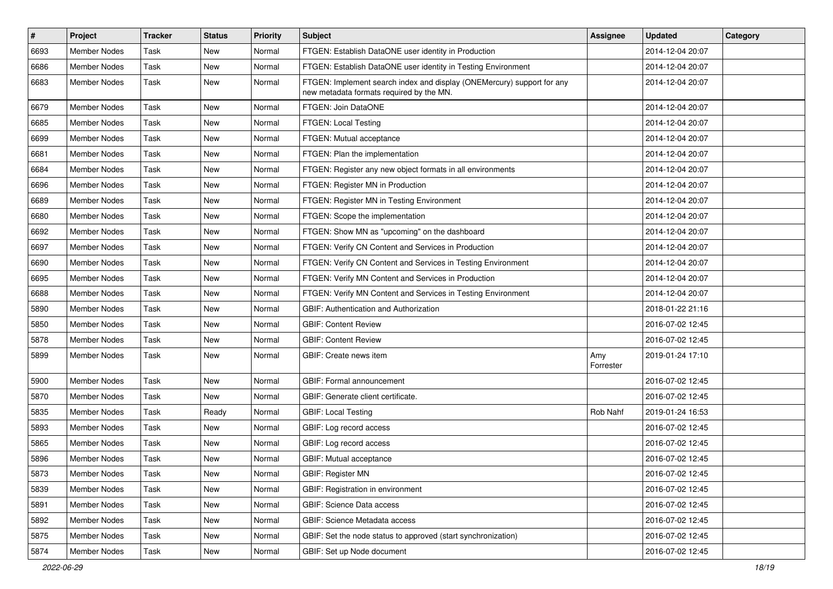| $\sharp$ | Project             | <b>Tracker</b> | <b>Status</b> | <b>Priority</b> | <b>Subject</b>                                                                                                     | Assignee         | <b>Updated</b>   | Category |
|----------|---------------------|----------------|---------------|-----------------|--------------------------------------------------------------------------------------------------------------------|------------------|------------------|----------|
| 6693     | Member Nodes        | Task           | <b>New</b>    | Normal          | FTGEN: Establish DataONE user identity in Production                                                               |                  | 2014-12-04 20:07 |          |
| 6686     | <b>Member Nodes</b> | Task           | <b>New</b>    | Normal          | FTGEN: Establish DataONE user identity in Testing Environment                                                      |                  | 2014-12-04 20:07 |          |
| 6683     | <b>Member Nodes</b> | Task           | New           | Normal          | FTGEN: Implement search index and display (ONEMercury) support for any<br>new metadata formats required by the MN. |                  | 2014-12-04 20:07 |          |
| 6679     | Member Nodes        | Task           | <b>New</b>    | Normal          | FTGEN: Join DataONE                                                                                                |                  | 2014-12-04 20:07 |          |
| 6685     | <b>Member Nodes</b> | Task           | <b>New</b>    | Normal          | FTGEN: Local Testing                                                                                               |                  | 2014-12-04 20:07 |          |
| 6699     | <b>Member Nodes</b> | Task           | <b>New</b>    | Normal          | FTGEN: Mutual acceptance                                                                                           |                  | 2014-12-04 20:07 |          |
| 6681     | <b>Member Nodes</b> | Task           | New           | Normal          | FTGEN: Plan the implementation                                                                                     |                  | 2014-12-04 20:07 |          |
| 6684     | <b>Member Nodes</b> | Task           | New           | Normal          | FTGEN: Register any new object formats in all environments                                                         |                  | 2014-12-04 20:07 |          |
| 6696     | <b>Member Nodes</b> | Task           | <b>New</b>    | Normal          | FTGEN: Register MN in Production                                                                                   |                  | 2014-12-04 20:07 |          |
| 6689     | Member Nodes        | Task           | New           | Normal          | FTGEN: Register MN in Testing Environment                                                                          |                  | 2014-12-04 20:07 |          |
| 6680     | <b>Member Nodes</b> | Task           | <b>New</b>    | Normal          | FTGEN: Scope the implementation                                                                                    |                  | 2014-12-04 20:07 |          |
| 6692     | <b>Member Nodes</b> | Task           | New           | Normal          | FTGEN: Show MN as "upcoming" on the dashboard                                                                      |                  | 2014-12-04 20:07 |          |
| 6697     | <b>Member Nodes</b> | Task           | New           | Normal          | FTGEN: Verify CN Content and Services in Production                                                                |                  | 2014-12-04 20:07 |          |
| 6690     | <b>Member Nodes</b> | Task           | New           | Normal          | FTGEN: Verify CN Content and Services in Testing Environment                                                       |                  | 2014-12-04 20:07 |          |
| 6695     | <b>Member Nodes</b> | Task           | New           | Normal          | FTGEN: Verify MN Content and Services in Production                                                                |                  | 2014-12-04 20:07 |          |
| 6688     | <b>Member Nodes</b> | Task           | <b>New</b>    | Normal          | FTGEN: Verify MN Content and Services in Testing Environment                                                       |                  | 2014-12-04 20:07 |          |
| 5890     | <b>Member Nodes</b> | Task           | New           | Normal          | GBIF: Authentication and Authorization                                                                             |                  | 2018-01-22 21:16 |          |
| 5850     | <b>Member Nodes</b> | Task           | New           | Normal          | <b>GBIF: Content Review</b>                                                                                        |                  | 2016-07-02 12:45 |          |
| 5878     | <b>Member Nodes</b> | Task           | <b>New</b>    | Normal          | <b>GBIF: Content Review</b>                                                                                        |                  | 2016-07-02 12:45 |          |
| 5899     | <b>Member Nodes</b> | Task           | New           | Normal          | GBIF: Create news item                                                                                             | Amy<br>Forrester | 2019-01-24 17:10 |          |
| 5900     | Member Nodes        | Task           | <b>New</b>    | Normal          | GBIF: Formal announcement                                                                                          |                  | 2016-07-02 12:45 |          |
| 5870     | <b>Member Nodes</b> | Task           | New           | Normal          | GBIF: Generate client certificate.                                                                                 |                  | 2016-07-02 12:45 |          |
| 5835     | <b>Member Nodes</b> | Task           | Ready         | Normal          | <b>GBIF: Local Testing</b>                                                                                         | Rob Nahf         | 2019-01-24 16:53 |          |
| 5893     | <b>Member Nodes</b> | Task           | New           | Normal          | GBIF: Log record access                                                                                            |                  | 2016-07-02 12:45 |          |
| 5865     | <b>Member Nodes</b> | Task           | New           | Normal          | GBIF: Log record access                                                                                            |                  | 2016-07-02 12:45 |          |
| 5896     | Member Nodes        | Task           | New           | Normal          | GBIF: Mutual acceptance                                                                                            |                  | 2016-07-02 12:45 |          |
| 5873     | Member Nodes        | Task           | New           | Normal          | <b>GBIF: Register MN</b>                                                                                           |                  | 2016-07-02 12:45 |          |
| 5839     | Member Nodes        | Task           | New           | Normal          | GBIF: Registration in environment                                                                                  |                  | 2016-07-02 12:45 |          |
| 5891     | Member Nodes        | Task           | New           | Normal          | <b>GBIF: Science Data access</b>                                                                                   |                  | 2016-07-02 12:45 |          |
| 5892     | Member Nodes        | Task           | New           | Normal          | GBIF: Science Metadata access                                                                                      |                  | 2016-07-02 12:45 |          |
| 5875     | Member Nodes        | Task           | New           | Normal          | GBIF: Set the node status to approved (start synchronization)                                                      |                  | 2016-07-02 12:45 |          |
| 5874     | Member Nodes        | Task           | New           | Normal          | GBIF: Set up Node document                                                                                         |                  | 2016-07-02 12:45 |          |